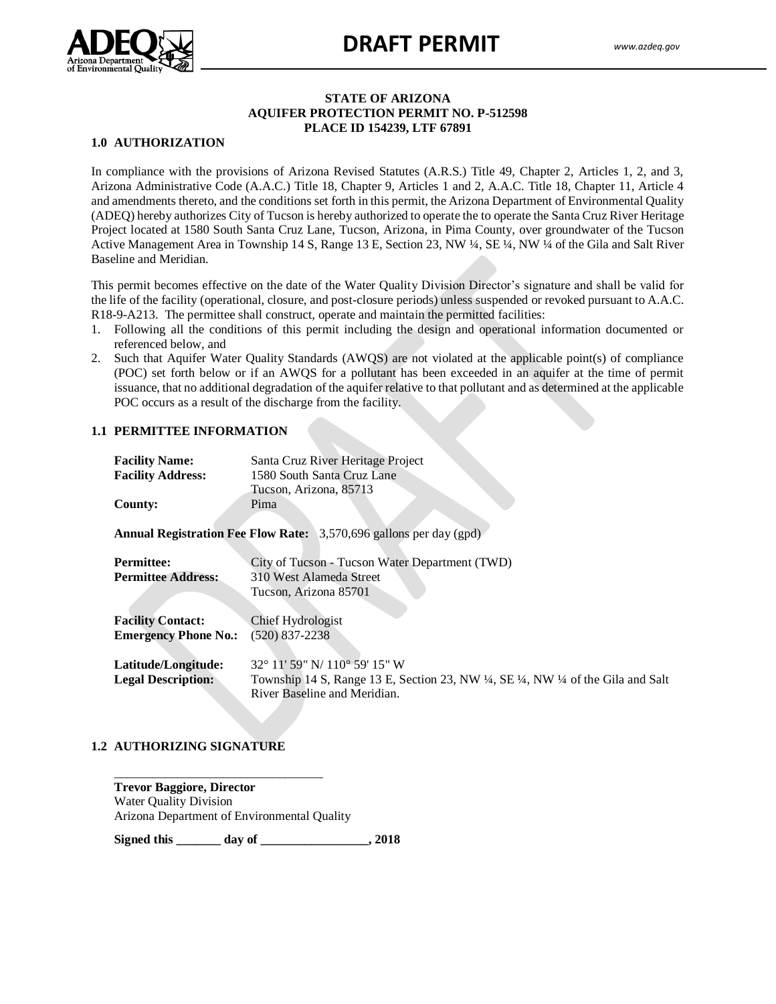

#### **STATE OF ARIZONA AQUIFER PROTECTION PERMIT NO. P-512598 PLACE ID 154239, LTF 67891**

## **1.0 AUTHORIZATION**

Arizona Administrative Code (A.A.C.) Title 18, Chapter 9, Articles 1 and 2, A.A.C. Title 18, Chapter 11, Article 4 and amendments thereto, and the conditions set forth in this permit, the Arizona Department of Environmental Quality (ADEQ) hereby admortes CRy of Tucson is nervely admorted to operate the to operate the Santa Cruz Krvet Tierrage In compliance with the provisions of Arizona Revised Statutes (A.R.S.) Title 49, Chapter 2, Articles 1, 2, and 3, (ADEQ) hereby authorizes City of Tucson is hereby authorized to operate the to operate the Santa Cruz River Heritage Active Management Area in Township 14 S, Range 13 E, Section 23, NW ¼, SE ¼, NW ¼ of the Gila and Salt River Baseline and Meridian.

This permit becomes effective on the date of the Water Quality Division Director's signature and shall be valid for the life of the facility (operational, closure, and post-closure periods) unless suspended or revoked pursuant to A.A.C. R18-9-A213. The permittee shall construct, operate and maintain the permitted facilities:

- 1. Following all the conditions of this permit including the design and operational information documented or referenced below, and
- 2. Such that Aquifer Water Quality Standards (AWQS) are not violated at the applicable point(s) of compliance (POC) set forth below or if an AWQS for a pollutant has been exceeded in an aquifer at the time of permit issuance, that no additional degradation of the aquifer relative to that pollutant and as determined at the applicable POC occurs as a result of the discharge from the facility.

#### **1.1 PERMITTEE INFORMATION**

| <b>Facility Name:</b>       | Santa Cruz River Heritage Project                                                                                  |
|-----------------------------|--------------------------------------------------------------------------------------------------------------------|
| <b>Facility Address:</b>    | 1580 South Santa Cruz Lane                                                                                         |
|                             | Tucson, Arizona, 85713                                                                                             |
| <b>County:</b>              | Pima                                                                                                               |
|                             |                                                                                                                    |
|                             | <b>Annual Registration Fee Flow Rate:</b> 3,570,696 gallons per day (gpd)                                          |
|                             |                                                                                                                    |
| <b>Permittee:</b>           | City of Tucson - Tucson Water Department (TWD)                                                                     |
| <b>Permittee Address:</b>   | 310 West Alameda Street                                                                                            |
|                             | Tucson, Arizona 85701                                                                                              |
|                             |                                                                                                                    |
| <b>Facility Contact:</b>    | Chief Hydrologist                                                                                                  |
| <b>Emergency Phone No.:</b> | $(520)$ 837-2238                                                                                                   |
|                             |                                                                                                                    |
| Latitude/Longitude:         | $32^{\circ}$ 11' 59" N/110 $^{\circ}$ 59' 15" W                                                                    |
|                             |                                                                                                                    |
| <b>Legal Description:</b>   | Township 14 S, Range 13 E, Section 23, NW $\frac{1}{4}$ , SE $\frac{1}{4}$ , NW $\frac{1}{4}$ of the Gila and Salt |
|                             | River Baseline and Meridian.                                                                                       |

#### **1.2 AUTHORIZING SIGNATURE**

**Trevor Baggiore, Director** Water Quality Division Arizona Department of Environmental Quality

\_\_\_\_\_\_\_\_\_\_\_\_\_\_\_\_\_\_\_\_\_\_\_\_\_\_\_\_\_\_\_\_\_

**Signed this \_\_\_\_\_\_\_ day of \_\_\_\_\_\_\_\_\_\_\_\_\_\_\_\_\_, 2018**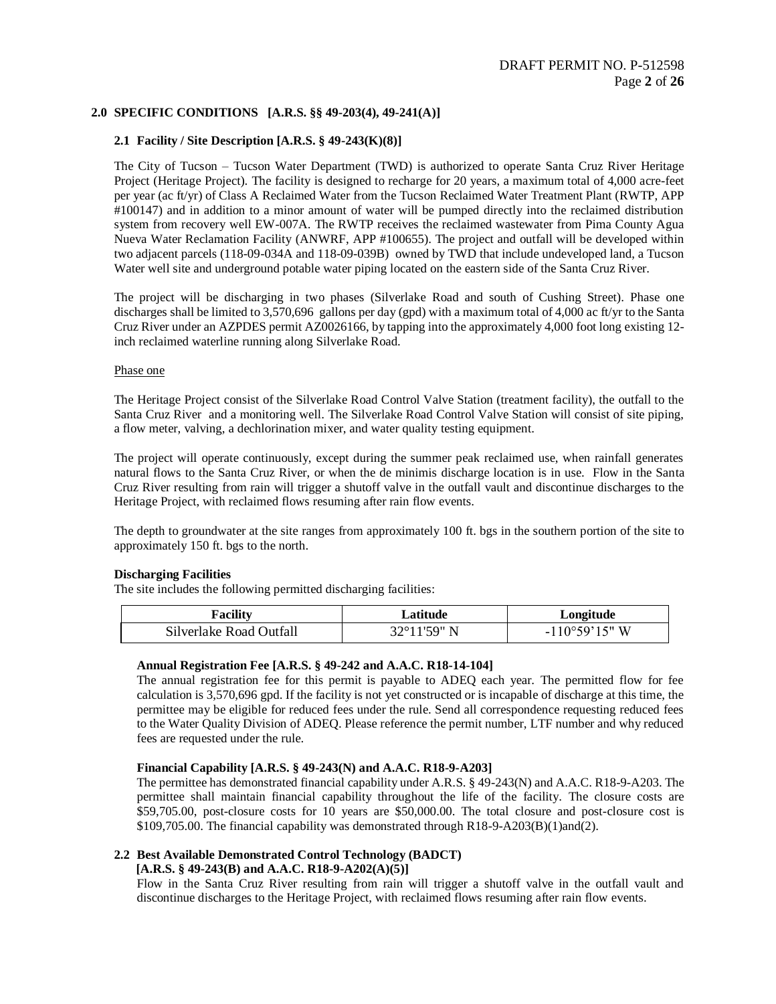## **2.0 SPECIFIC CONDITIONS [A.R.S. §§ 49-203(4), 49-241(A)]**

#### **2.1 Facility / Site Description [A.R.S. § 49-243(K)(8)]**

The City of Tucson – Tucson Water Department (TWD) is authorized to operate Santa Cruz River Heritage Project (Heritage Project). The facility is designed to recharge for 20 years, a maximum total of 4,000 acre-feet per year (ac ft/yr) of Class A Reclaimed Water from the Tucson Reclaimed Water Treatment Plant (RWTP, APP #100147) and in addition to a minor amount of water will be pumped directly into the reclaimed distribution system from recovery well EW-007A. The RWTP receives the reclaimed wastewater from Pima County Agua Nueva Water Reclamation Facility (ANWRF, APP #100655). The project and outfall will be developed within two adjacent parcels (118-09-034A and 118-09-039B) owned by TWD that include undeveloped land, a Tucson Water well site and underground potable water piping located on the eastern side of the Santa Cruz River.

The project will be discharging in two phases (Silverlake Road and south of Cushing Street). Phase one discharges shall be limited to 3,570,696 gallons per day (gpd) with a maximum total of 4,000 ac ft/yr to the Santa Cruz River under an AZPDES permit AZ0026166, by tapping into the approximately 4,000 foot long existing 12 inch reclaimed waterline running along Silverlake Road.

#### Phase one

The Heritage Project consist of the Silverlake Road Control Valve Station (treatment facility), the outfall to the Santa Cruz River and a monitoring well. The Silverlake Road Control Valve Station will consist of site piping, a flow meter, valving, a dechlorination mixer, and water quality testing equipment.

The project will operate continuously, except during the summer peak reclaimed use, when rainfall generates natural flows to the Santa Cruz River, or when the de minimis discharge location is in use. Flow in the Santa Cruz River resulting from rain will trigger a shutoff valve in the outfall vault and discontinue discharges to the Heritage Project, with reclaimed flows resuming after rain flow events.

The depth to groundwater at the site ranges from approximately 100 ft. bgs in the southern portion of the site to approximately 150 ft. bgs to the north.

#### **Discharging Facilities**

The site includes the following permitted discharging facilities:

| r'acility               | <b>atitude</b> | Longitude               |
|-------------------------|----------------|-------------------------|
| Silverlake Road Outfall | 37°11'59" N    | $-110^{\circ}59'15''$ W |

#### **Annual Registration Fee [A.R.S. § 49-242 and A.A.C. R18-14-104]**

The annual registration fee for this permit is payable to ADEQ each year. The permitted flow for fee calculation is 3,570,696 gpd. If the facility is not yet constructed or is incapable of discharge at this time, the permittee may be eligible for reduced fees under the rule. Send all correspondence requesting reduced fees to the Water Quality Division of ADEQ. Please reference the permit number, LTF number and why reduced fees are requested under the rule.

#### **Financial Capability [A.R.S. § 49-243(N) and A.A.C. R18-9-A203]**

The permittee has demonstrated financial capability under A.R.S. § 49-243(N) and A.A.C. R18-9-A203. The permittee shall maintain financial capability throughout the life of the facility. The closure costs are \$59,705.00, post-closure costs for 10 years are \$50,000.00. The total closure and post-closure cost is \$109,705.00. The financial capability was demonstrated through R18-9-A203(B)(1)and(2).

#### **2.2 Best Available Demonstrated Control Technology (BADCT) [A.R.S. § 49-243(B) and A.A.C. R18-9-A202(A)(5)]**

Flow in the Santa Cruz River resulting from rain will trigger a shutoff valve in the outfall vault and discontinue discharges to the Heritage Project, with reclaimed flows resuming after rain flow events.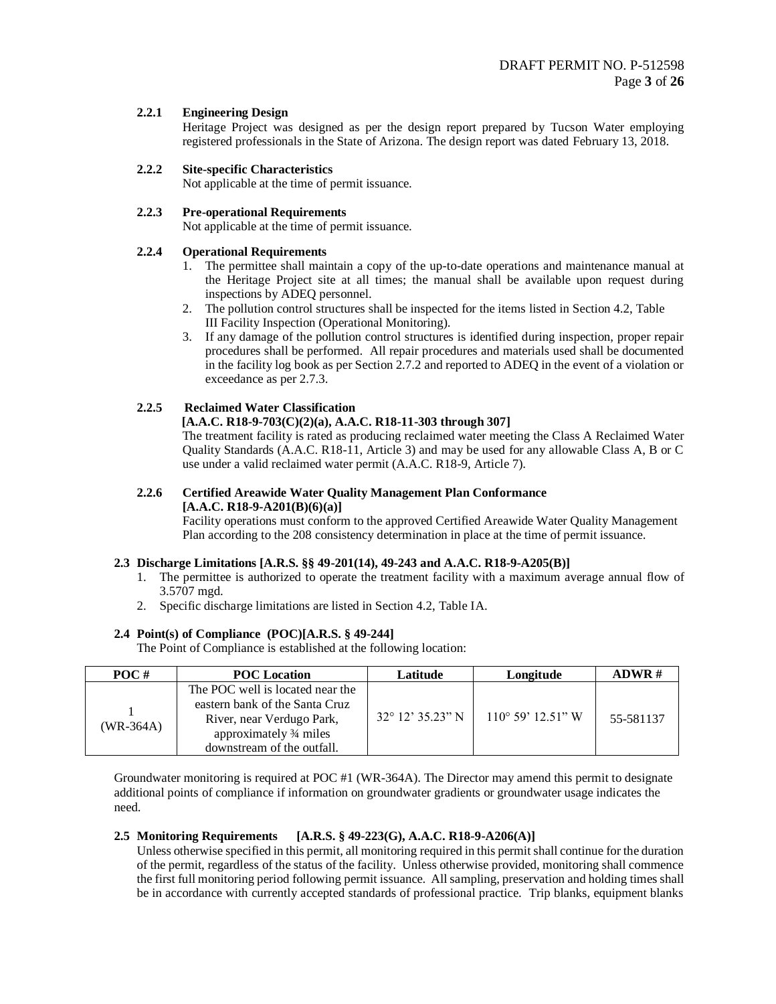## **2.2.1 Engineering Design**

Heritage Project was designed as per the design report prepared by Tucson Water employing registered professionals in the State of Arizona. The design report was dated February 13, 2018.

## **2.2.2 Site-specific Characteristics**

Not applicable at the time of permit issuance.

## **2.2.3 Pre-operational Requirements**

Not applicable at the time of permit issuance.

## **2.2.4 Operational Requirements**

- 1. The permittee shall maintain a copy of the up-to-date operations and maintenance manual at the Heritage Project site at all times; the manual shall be available upon request during inspections by ADEQ personnel.
- 2. The pollution control structures shall be inspected for the items listed in Section 4.2, Table III Facility Inspection (Operational Monitoring).
- 3. If any damage of the pollution control structures is identified during inspection, proper repair procedures shall be performed. All repair procedures and materials used shall be documented in the facility log book as per Section 2.7.2 and reported to ADEQ in the event of a violation or exceedance as per 2.7.3.

## **2.2.5 Reclaimed Water Classification**

## **[A.A.C. R18-9-703(C)(2)(a), A.A.C. R18-11-303 through 307]**

The treatment facility is rated as producing reclaimed water meeting the Class A Reclaimed Water Quality Standards (A.A.C. R18-11, Article 3) and may be used for any allowable Class A, B or C use under a valid reclaimed water permit (A.A.C. R18-9, Article 7).

## **2.2.6 Certified Areawide Water Quality Management Plan Conformance [A.A.C. R18-9-A201(B)(6)(a)]**

Facility operations must conform to the approved Certified Areawide Water Quality Management Plan according to the 208 consistency determination in place at the time of permit issuance.

## **2.3 Discharge Limitations [A.R.S. §§ 49-201(14), 49-243 and A.A.C. R18-9-A205(B)]**

- 1. The permittee is authorized to operate the treatment facility with a maximum average annual flow of 3.5707 mgd.
- 2. Specific discharge limitations are listed in Section 4.2, Table IA.

## **2.4 Point(s) of Compliance (POC)[A.R.S. § 49-244]**

The Point of Compliance is established at the following location:

| POC#        | <b>POC</b> Location                                                                                                                                      | Latitude                  | Longitude                     | ADWR #    |
|-------------|----------------------------------------------------------------------------------------------------------------------------------------------------------|---------------------------|-------------------------------|-----------|
| $(WR-364A)$ | The POC well is located near the<br>eastern bank of the Santa Cruz<br>River, near Verdugo Park,<br>approximately 3/4 miles<br>downstream of the outfall. | $32^{\circ}$ 12' 35.23" N | $110^{\circ}$ 59' $12.51$ " W | 55-581137 |

Groundwater monitoring is required at POC #1 (WR-364A). The Director may amend this permit to designate additional points of compliance if information on groundwater gradients or groundwater usage indicates the need.

## **2.5 Monitoring Requirements [A.R.S. § 49-223(G), A.A.C. R18-9-A206(A)]**

Unless otherwise specified in this permit, all monitoring required in this permit shall continue for the duration of the permit, regardless of the status of the facility. Unless otherwise provided, monitoring shall commence the first full monitoring period following permit issuance. All sampling, preservation and holding times shall be in accordance with currently accepted standards of professional practice. Trip blanks, equipment blanks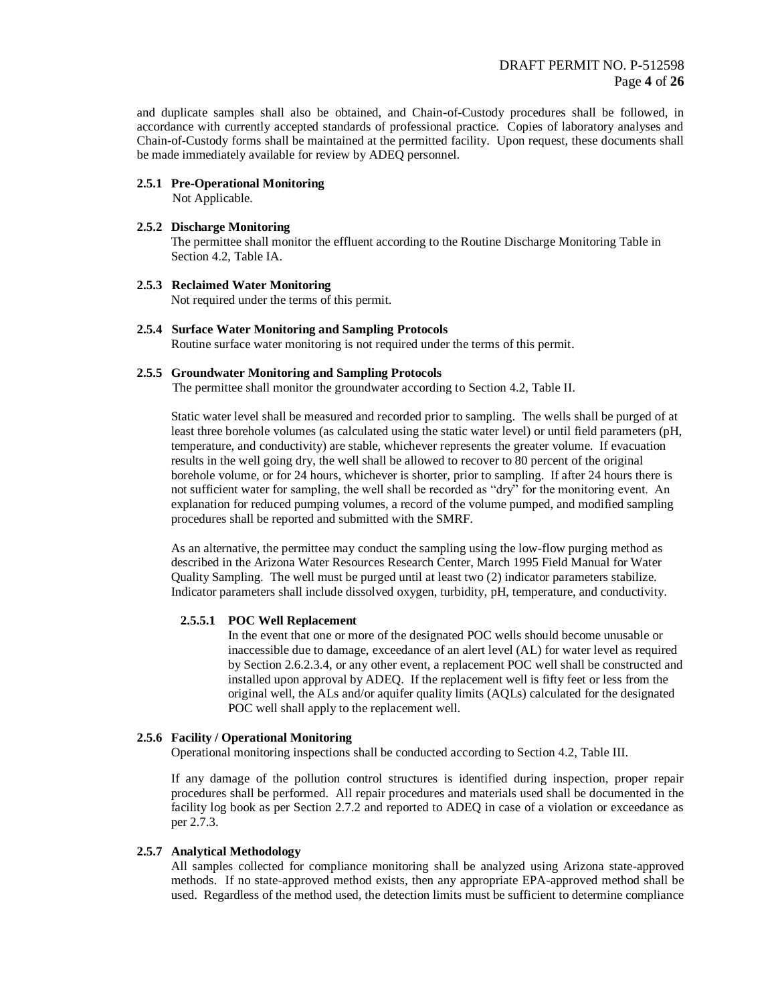and duplicate samples shall also be obtained, and Chain-of-Custody procedures shall be followed, in accordance with currently accepted standards of professional practice. Copies of laboratory analyses and Chain-of-Custody forms shall be maintained at the permitted facility. Upon request, these documents shall be made immediately available for review by ADEQ personnel.

#### **2.5.1 Pre-Operational Monitoring**

Not Applicable.

#### **2.5.2 Discharge Monitoring**

The permittee shall monitor the effluent according to the Routine Discharge Monitoring Table in Section 4.2, Table IA.

## **2.5.3 Reclaimed Water Monitoring**

Not required under the terms of this permit.

**2.5.4 Surface Water Monitoring and Sampling Protocols** Routine surface water monitoring is not required under the terms of this permit.

#### **2.5.5 Groundwater Monitoring and Sampling Protocols**

The permittee shall monitor the groundwater according to Section 4.2, Table II.

Static water level shall be measured and recorded prior to sampling. The wells shall be purged of at least three borehole volumes (as calculated using the static water level) or until field parameters (pH, temperature, and conductivity) are stable, whichever represents the greater volume. If evacuation results in the well going dry, the well shall be allowed to recover to 80 percent of the original borehole volume, or for 24 hours, whichever is shorter, prior to sampling. If after 24 hours there is not sufficient water for sampling, the well shall be recorded as "dry" for the monitoring event. An explanation for reduced pumping volumes, a record of the volume pumped, and modified sampling procedures shall be reported and submitted with the SMRF.

As an alternative, the permittee may conduct the sampling using the low-flow purging method as described in the Arizona Water Resources Research Center, March 1995 Field Manual for Water Quality Sampling. The well must be purged until at least two (2) indicator parameters stabilize. Indicator parameters shall include dissolved oxygen, turbidity, pH, temperature, and conductivity.

#### **2.5.5.1 POC Well Replacement**

In the event that one or more of the designated POC wells should become unusable or inaccessible due to damage, exceedance of an alert level (AL) for water level as required by Section 2.6.2.3.4, or any other event, a replacement POC well shall be constructed and installed upon approval by ADEQ. If the replacement well is fifty feet or less from the original well, the ALs and/or aquifer quality limits (AQLs) calculated for the designated POC well shall apply to the replacement well.

#### **2.5.6 Facility / Operational Monitoring**

Operational monitoring inspections shall be conducted according to Section 4.2, Table III.

If any damage of the pollution control structures is identified during inspection, proper repair procedures shall be performed. All repair procedures and materials used shall be documented in the facility log book as per Section 2.7.2 and reported to ADEQ in case of a violation or exceedance as per 2.7.3.

## **2.5.7 Analytical Methodology**

All samples collected for compliance monitoring shall be analyzed using Arizona state-approved methods. If no state-approved method exists, then any appropriate EPA-approved method shall be used. Regardless of the method used, the detection limits must be sufficient to determine compliance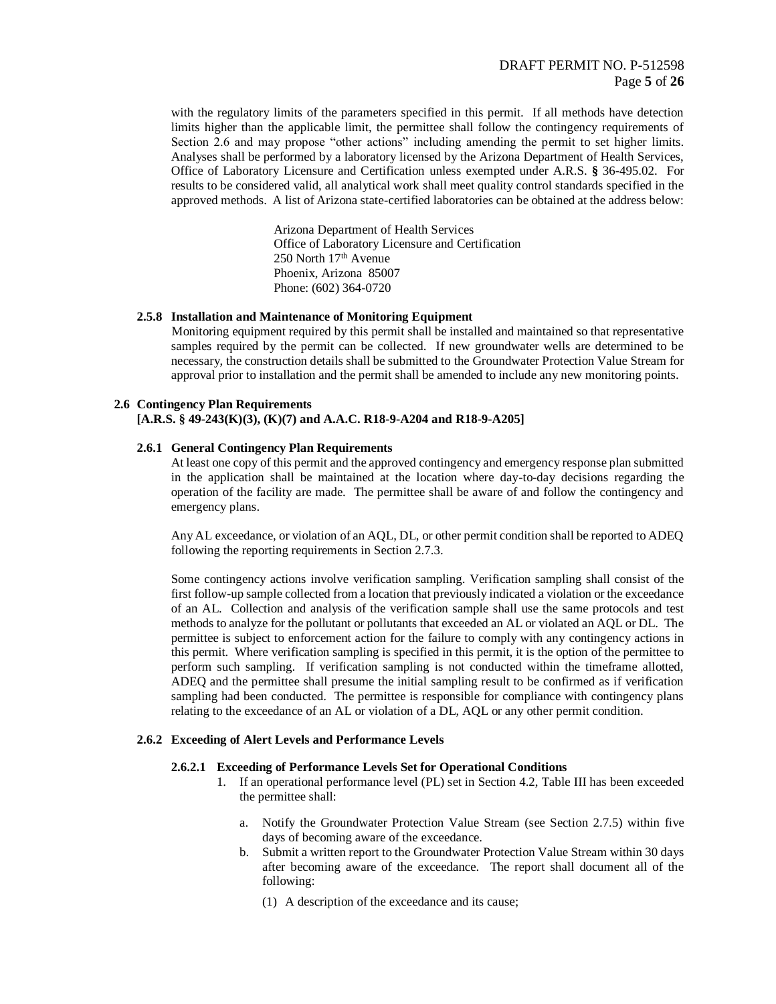with the regulatory limits of the parameters specified in this permit. If all methods have detection limits higher than the applicable limit, the permittee shall follow the contingency requirements of Section 2.6 and may propose "other actions" including amending the permit to set higher limits. Analyses shall be performed by a laboratory licensed by the Arizona Department of Health Services, Office of Laboratory Licensure and Certification unless exempted under A.R.S. **§** 36-495.02. For results to be considered valid, all analytical work shall meet quality control standards specified in the approved methods. A list of Arizona state-certified laboratories can be obtained at the address below:

> Arizona Department of Health Services Office of Laboratory Licensure and Certification 250 North 17th Avenue Phoenix, Arizona 85007 Phone: (602) 364-0720

#### **2.5.8 Installation and Maintenance of Monitoring Equipment**

 Monitoring equipment required by this permit shall be installed and maintained so that representative samples required by the permit can be collected. If new groundwater wells are determined to be necessary, the construction details shall be submitted to the Groundwater Protection Value Stream for approval prior to installation and the permit shall be amended to include any new monitoring points.

## **2.6 Contingency Plan Requirements**

## **[A.R.S. § 49-243(K)(3), (K)(7) and A.A.C. R18-9-A204 and R18-9-A205]**

## **2.6.1 General Contingency Plan Requirements**

At least one copy of this permit and the approved contingency and emergency response plan submitted in the application shall be maintained at the location where day-to-day decisions regarding the operation of the facility are made. The permittee shall be aware of and follow the contingency and emergency plans.

Any AL exceedance, or violation of an AQL, DL, or other permit condition shall be reported to ADEQ following the reporting requirements in Section 2.7.3.

Some contingency actions involve verification sampling. Verification sampling shall consist of the first follow-up sample collected from a location that previously indicated a violation or the exceedance of an AL. Collection and analysis of the verification sample shall use the same protocols and test methods to analyze for the pollutant or pollutants that exceeded an AL or violated an AQL or DL. The permittee is subject to enforcement action for the failure to comply with any contingency actions in this permit. Where verification sampling is specified in this permit, it is the option of the permittee to perform such sampling. If verification sampling is not conducted within the timeframe allotted, ADEQ and the permittee shall presume the initial sampling result to be confirmed as if verification sampling had been conducted. The permittee is responsible for compliance with contingency plans relating to the exceedance of an AL or violation of a DL, AQL or any other permit condition.

## **2.6.2 Exceeding of Alert Levels and Performance Levels**

## **2.6.2.1 Exceeding of Performance Levels Set for Operational Conditions**

- 1. If an operational performance level (PL) set in Section 4.2, Table III has been exceeded the permittee shall:
	- a. Notify the Groundwater Protection Value Stream (see Section 2.7.5) within five days of becoming aware of the exceedance.
	- b. Submit a written report to the Groundwater Protection Value Stream within 30 days after becoming aware of the exceedance. The report shall document all of the following:
		- (1) A description of the exceedance and its cause;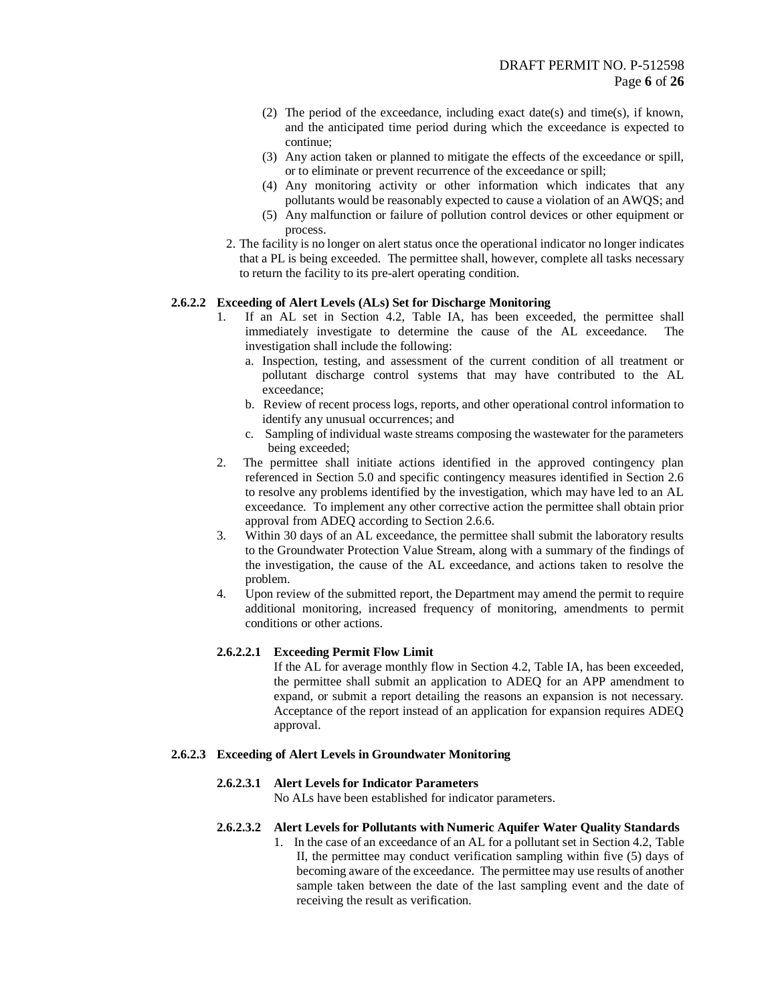- (2) The period of the exceedance, including exact date(s) and time(s), if known, and the anticipated time period during which the exceedance is expected to continue;
- (3) Any action taken or planned to mitigate the effects of the exceedance or spill, or to eliminate or prevent recurrence of the exceedance or spill;
- (4) Any monitoring activity or other information which indicates that any pollutants would be reasonably expected to cause a violation of an AWQS; and
- (5) Any malfunction or failure of pollution control devices or other equipment or process.
- 2. The facility is no longer on alert status once the operational indicator no longer indicates that a PL is being exceeded. The permittee shall, however, complete all tasks necessary to return the facility to its pre-alert operating condition.

## **2.6.2.2 Exceeding of Alert Levels (ALs) Set for Discharge Monitoring**

- 1. If an AL set in Section 4.2, Table IA, has been exceeded, the permittee shall immediately investigate to determine the cause of the AL exceedance. The investigation shall include the following:
	- a. Inspection, testing, and assessment of the current condition of all treatment or pollutant discharge control systems that may have contributed to the AL exceedance;
	- b. Review of recent process logs, reports, and other operational control information to identify any unusual occurrences; and
	- c. Sampling of individual waste streams composing the wastewater for the parameters being exceeded;
- 2. The permittee shall initiate actions identified in the approved contingency plan referenced in Section 5.0 and specific contingency measures identified in Section 2.6 to resolve any problems identified by the investigation, which may have led to an AL exceedance. To implement any other corrective action the permittee shall obtain prior approval from ADEQ according to Section 2.6.6.
- 3. Within 30 days of an AL exceedance, the permittee shall submit the laboratory results to the Groundwater Protection Value Stream, along with a summary of the findings of the investigation, the cause of the AL exceedance, and actions taken to resolve the problem.
- 4. Upon review of the submitted report, the Department may amend the permit to require additional monitoring, increased frequency of monitoring, amendments to permit conditions or other actions.

#### **2.6.2.2.1 Exceeding Permit Flow Limit**

If the AL for average monthly flow in Section 4.2, Table IA, has been exceeded, the permittee shall submit an application to ADEQ for an APP amendment to expand, or submit a report detailing the reasons an expansion is not necessary. Acceptance of the report instead of an application for expansion requires ADEQ approval.

### **2.6.2.3 Exceeding of Alert Levels in Groundwater Monitoring**

#### **2.6.2.3.1 Alert Levels for Indicator Parameters**

No ALs have been established for indicator parameters.

#### **2.6.2.3.2 Alert Levels for Pollutants with Numeric Aquifer Water Quality Standards**

1. In the case of an exceedance of an AL for a pollutant set in Section 4.2, Table II, the permittee may conduct verification sampling within five (5) days of becoming aware of the exceedance. The permittee may use results of another sample taken between the date of the last sampling event and the date of receiving the result as verification.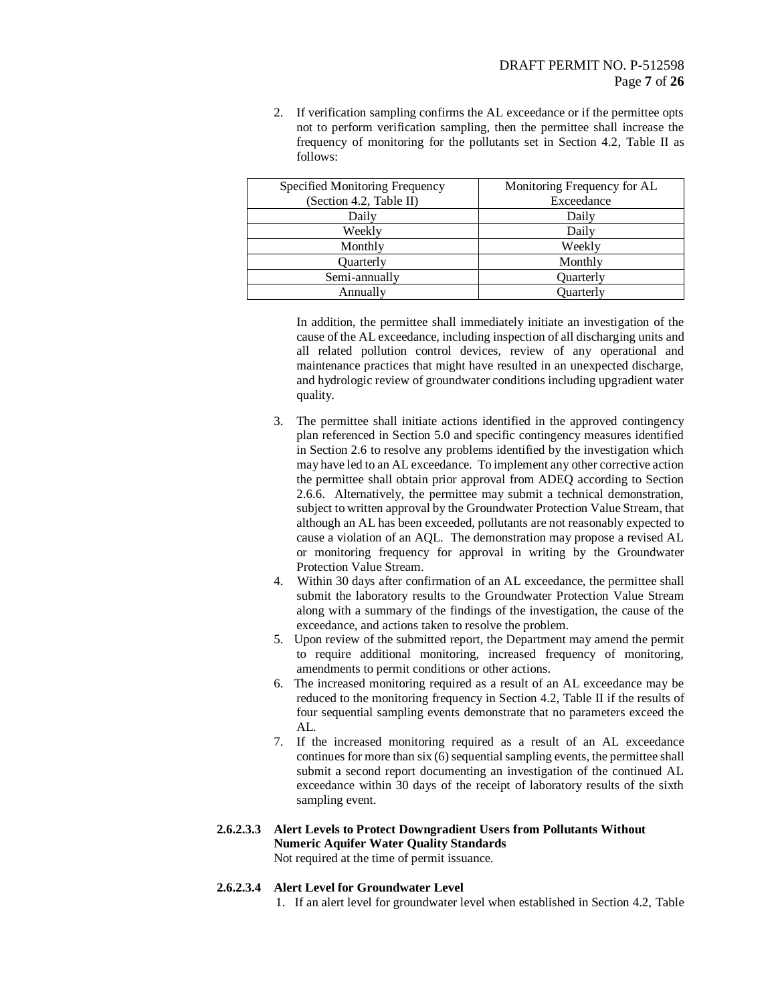2. If verification sampling confirms the AL exceedance or if the permittee opts not to perform verification sampling, then the permittee shall increase the frequency of monitoring for the pollutants set in Section 4.2, Table II as follows:

| Specified Monitoring Frequency | Monitoring Frequency for AL |
|--------------------------------|-----------------------------|
| (Section 4.2, Table II)        | Exceedance                  |
| Daily                          | Daily                       |
| Weekly                         | Daily                       |
| Monthly                        | Weekly                      |
| Ouarterly                      | Monthly                     |
| Semi-annually                  | Ouarterly                   |
| Annually                       | Ouarterly                   |

In addition, the permittee shall immediately initiate an investigation of the cause of the AL exceedance, including inspection of all discharging units and all related pollution control devices, review of any operational and maintenance practices that might have resulted in an unexpected discharge, and hydrologic review of groundwater conditions including upgradient water quality.

- 3. The permittee shall initiate actions identified in the approved contingency plan referenced in Section 5.0 and specific contingency measures identified in Section 2.6 to resolve any problems identified by the investigation which may have led to an AL exceedance. To implement any other corrective action the permittee shall obtain prior approval from ADEQ according to Section 2.6.6. Alternatively, the permittee may submit a technical demonstration, subject to written approval by the Groundwater Protection Value Stream, that although an AL has been exceeded, pollutants are not reasonably expected to cause a violation of an AQL. The demonstration may propose a revised AL or monitoring frequency for approval in writing by the Groundwater Protection Value Stream.
- 4. Within 30 days after confirmation of an AL exceedance, the permittee shall submit the laboratory results to the Groundwater Protection Value Stream along with a summary of the findings of the investigation, the cause of the exceedance, and actions taken to resolve the problem.
- 5. Upon review of the submitted report, the Department may amend the permit to require additional monitoring, increased frequency of monitoring, amendments to permit conditions or other actions.
- 6. The increased monitoring required as a result of an AL exceedance may be reduced to the monitoring frequency in Section 4.2, Table II if the results of four sequential sampling events demonstrate that no parameters exceed the AL.
- 7. If the increased monitoring required as a result of an AL exceedance continues for more than six (6) sequential sampling events, the permittee shall submit a second report documenting an investigation of the continued AL exceedance within 30 days of the receipt of laboratory results of the sixth sampling event.

# **2.6.2.3.3 Alert Levels to Protect Downgradient Users from Pollutants Without Numeric Aquifer Water Quality Standards**

Not required at the time of permit issuance.

## **2.6.2.3.4 Alert Level for Groundwater Level**

1. If an alert level for groundwater level when established in Section 4.2, Table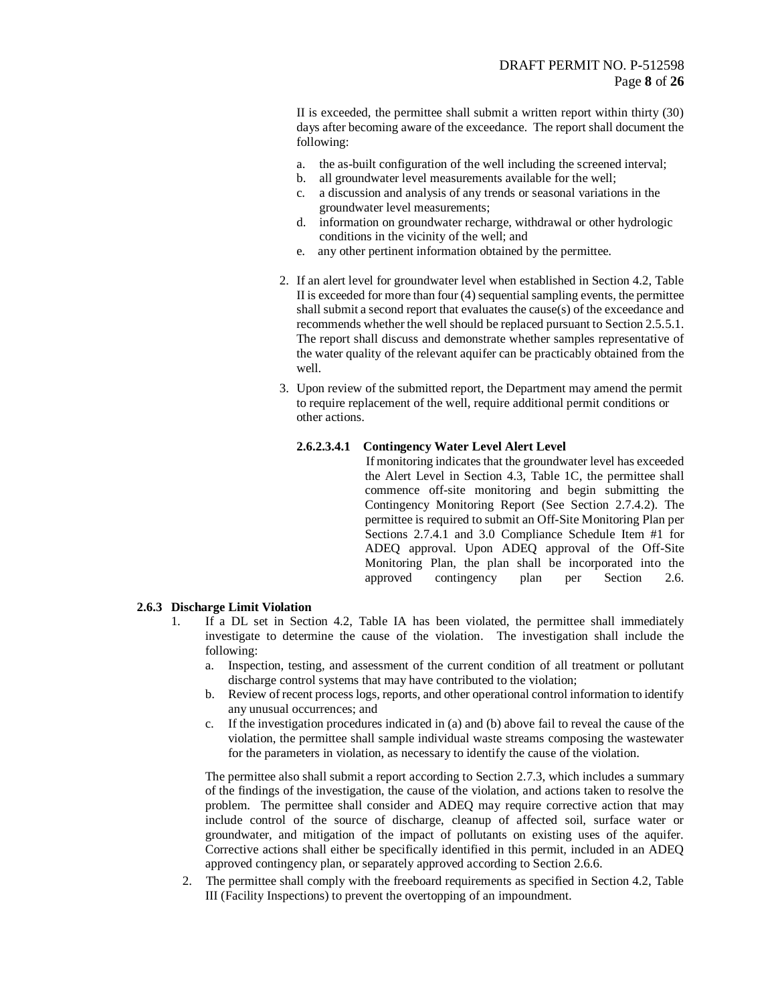II is exceeded, the permittee shall submit a written report within thirty (30) days after becoming aware of the exceedance. The report shall document the following:

- a. the as-built configuration of the well including the screened interval;
- b. all groundwater level measurements available for the well;
- c. a discussion and analysis of any trends or seasonal variations in the groundwater level measurements;
- d. information on groundwater recharge, withdrawal or other hydrologic conditions in the vicinity of the well; and
- e. any other pertinent information obtained by the permittee.
- 2. If an alert level for groundwater level when established in Section 4.2, Table II is exceeded for more than four (4) sequential sampling events, the permittee shall submit a second report that evaluates the cause(s) of the exceedance and recommends whether the well should be replaced pursuant to Section 2.5.5.1. The report shall discuss and demonstrate whether samples representative of the water quality of the relevant aquifer can be practicably obtained from the well.
- 3. Upon review of the submitted report, the Department may amend the permit to require replacement of the well, require additional permit conditions or other actions.

## **2.6.2.3.4.1 Contingency Water Level Alert Level**

 If monitoring indicates that the groundwater level has exceeded the Alert Level in Section 4.3, Table 1C, the permittee shall commence off-site monitoring and begin submitting the Contingency Monitoring Report (See Section 2.7.4.2). The permittee is required to submit an Off-Site Monitoring Plan per Sections 2.7.4.1 and 3.0 Compliance Schedule Item #1 for ADEQ approval. Upon ADEQ approval of the Off-Site Monitoring Plan, the plan shall be incorporated into the approved contingency plan per Section 2.6.

## **2.6.3 Discharge Limit Violation**

- 1. If a DL set in Section 4.2, Table IA has been violated, the permittee shall immediately investigate to determine the cause of the violation. The investigation shall include the following:
	- a. Inspection, testing, and assessment of the current condition of all treatment or pollutant discharge control systems that may have contributed to the violation;
	- b. Review of recent process logs, reports, and other operational control information to identify any unusual occurrences; and
	- c. If the investigation procedures indicated in (a) and (b) above fail to reveal the cause of the violation, the permittee shall sample individual waste streams composing the wastewater for the parameters in violation, as necessary to identify the cause of the violation.

The permittee also shall submit a report according to Section 2.7.3, which includes a summary of the findings of the investigation, the cause of the violation, and actions taken to resolve the problem. The permittee shall consider and ADEQ may require corrective action that may include control of the source of discharge, cleanup of affected soil, surface water or groundwater, and mitigation of the impact of pollutants on existing uses of the aquifer. Corrective actions shall either be specifically identified in this permit, included in an ADEQ approved contingency plan, or separately approved according to Section 2.6.6.

2. The permittee shall comply with the freeboard requirements as specified in Section 4.2, Table III (Facility Inspections) to prevent the overtopping of an impoundment.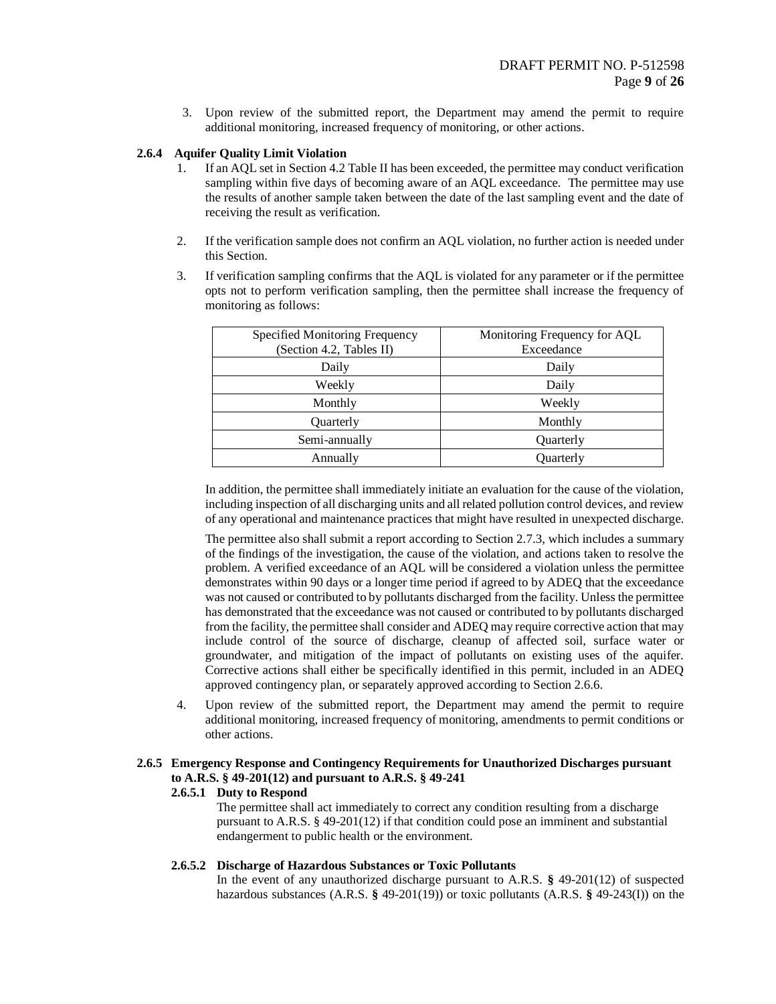3. Upon review of the submitted report, the Department may amend the permit to require additional monitoring, increased frequency of monitoring, or other actions.

## **2.6.4 Aquifer Quality Limit Violation**

- 1. If an AQL set in Section 4.2 Table II has been exceeded, the permittee may conduct verification sampling within five days of becoming aware of an AQL exceedance. The permittee may use the results of another sample taken between the date of the last sampling event and the date of receiving the result as verification.
- 2. If the verification sample does not confirm an AQL violation, no further action is needed under this Section.
- 3. If verification sampling confirms that the AQL is violated for any parameter or if the permittee opts not to perform verification sampling, then the permittee shall increase the frequency of monitoring as follows:

| Specified Monitoring Frequency<br>(Section 4.2, Tables II) | Monitoring Frequency for AQL<br>Exceedance |
|------------------------------------------------------------|--------------------------------------------|
| Daily                                                      | Daily                                      |
| Weekly                                                     | Daily                                      |
| Monthly                                                    | Weekly                                     |
| Quarterly                                                  | Monthly                                    |
| Semi-annually                                              | Quarterly                                  |
| Annually                                                   | Quarterly                                  |

In addition, the permittee shall immediately initiate an evaluation for the cause of the violation, including inspection of all discharging units and all related pollution control devices, and review of any operational and maintenance practices that might have resulted in unexpected discharge.

The permittee also shall submit a report according to Section 2.7.3, which includes a summary of the findings of the investigation, the cause of the violation, and actions taken to resolve the problem. A verified exceedance of an AQL will be considered a violation unless the permittee demonstrates within 90 days or a longer time period if agreed to by ADEQ that the exceedance was not caused or contributed to by pollutants discharged from the facility. Unless the permittee has demonstrated that the exceedance was not caused or contributed to by pollutants discharged from the facility, the permittee shall consider and ADEQ may require corrective action that may include control of the source of discharge, cleanup of affected soil, surface water or groundwater, and mitigation of the impact of pollutants on existing uses of the aquifer. Corrective actions shall either be specifically identified in this permit, included in an ADEQ approved contingency plan, or separately approved according to Section 2.6.6.

4. Upon review of the submitted report, the Department may amend the permit to require additional monitoring, increased frequency of monitoring, amendments to permit conditions or other actions.

## **2.6.5 Emergency Response and Contingency Requirements for Unauthorized Discharges pursuant to A.R.S. § 49-201(12) and pursuant to A.R.S. § 49-241**

#### **2.6.5.1 Duty to Respond**

The permittee shall act immediately to correct any condition resulting from a discharge pursuant to A.R.S. § 49-201(12) if that condition could pose an imminent and substantial endangerment to public health or the environment.

## **2.6.5.2 Discharge of Hazardous Substances or Toxic Pollutants**

In the event of any unauthorized discharge pursuant to A.R.S. **§** 49-201(12) of suspected hazardous substances (A.R.S. **§** 49-201(19)) or toxic pollutants (A.R.S. **§** 49-243(I)) on the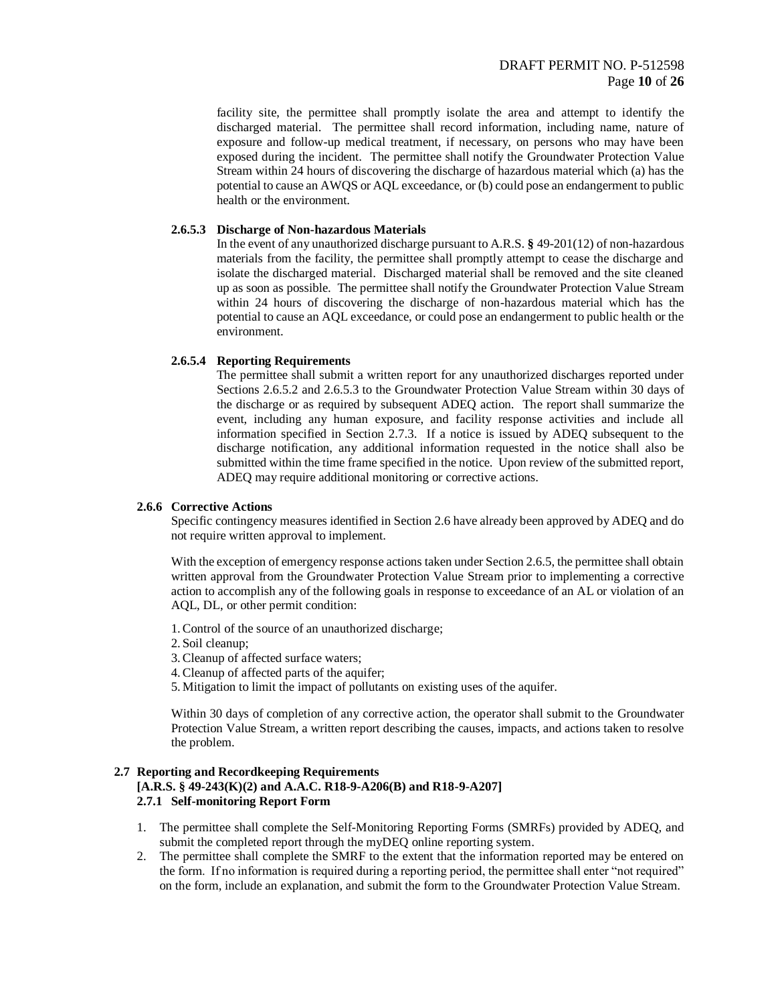facility site, the permittee shall promptly isolate the area and attempt to identify the discharged material. The permittee shall record information, including name, nature of exposure and follow-up medical treatment, if necessary, on persons who may have been exposed during the incident. The permittee shall notify the Groundwater Protection Value Stream within 24 hours of discovering the discharge of hazardous material which (a) has the potential to cause an AWQS or AQL exceedance, or (b) could pose an endangerment to public health or the environment.

## **2.6.5.3 Discharge of Non-hazardous Materials**

In the event of any unauthorized discharge pursuant to A.R.S. **§** 49-201(12) of non-hazardous materials from the facility, the permittee shall promptly attempt to cease the discharge and isolate the discharged material. Discharged material shall be removed and the site cleaned up as soon as possible. The permittee shall notify the Groundwater Protection Value Stream within 24 hours of discovering the discharge of non-hazardous material which has the potential to cause an AQL exceedance, or could pose an endangerment to public health or the environment.

#### **2.6.5.4 Reporting Requirements**

The permittee shall submit a written report for any unauthorized discharges reported under Sections 2.6.5.2 and 2.6.5.3 to the Groundwater Protection Value Stream within 30 days of the discharge or as required by subsequent ADEQ action. The report shall summarize the event, including any human exposure, and facility response activities and include all information specified in Section 2.7.3. If a notice is issued by ADEQ subsequent to the discharge notification, any additional information requested in the notice shall also be submitted within the time frame specified in the notice. Upon review of the submitted report, ADEQ may require additional monitoring or corrective actions.

#### **2.6.6 Corrective Actions**

Specific contingency measures identified in Section 2.6 have already been approved by ADEQ and do not require written approval to implement.

With the exception of emergency response actions taken under Section 2.6.5, the permittee shall obtain written approval from the Groundwater Protection Value Stream prior to implementing a corrective action to accomplish any of the following goals in response to exceedance of an AL or violation of an AQL, DL, or other permit condition:

- 1.Control of the source of an unauthorized discharge;
- 2.Soil cleanup;
- 3.Cleanup of affected surface waters;
- 4.Cleanup of affected parts of the aquifer;
- 5. Mitigation to limit the impact of pollutants on existing uses of the aquifer.

Within 30 days of completion of any corrective action, the operator shall submit to the Groundwater Protection Value Stream, a written report describing the causes, impacts, and actions taken to resolve the problem.

#### **2.7 Reporting and Recordkeeping Requirements [A.R.S. § 49-243(K)(2) and A.A.C. R18-9-A206(B) and R18-9-A207] 2.7.1 Self-monitoring Report Form**

- 1. The permittee shall complete the Self-Monitoring Reporting Forms (SMRFs) provided by ADEQ, and submit the completed report through the myDEQ online reporting system.
- 2. The permittee shall complete the SMRF to the extent that the information reported may be entered on the form. If no information is required during a reporting period, the permittee shall enter "not required" on the form, include an explanation, and submit the form to the Groundwater Protection Value Stream.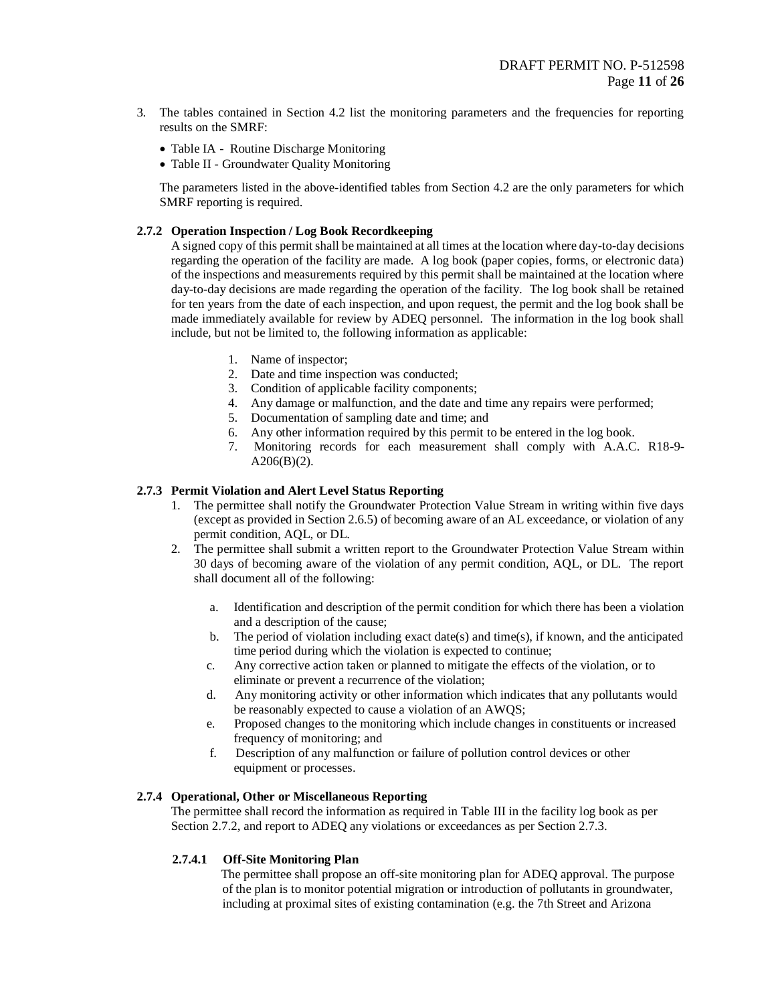- 3. The tables contained in Section 4.2 list the monitoring parameters and the frequencies for reporting results on the SMRF:
	- Table IA Routine Discharge Monitoring
	- Table II Groundwater Quality Monitoring

The parameters listed in the above-identified tables from Section 4.2 are the only parameters for which SMRF reporting is required.

## **2.7.2 Operation Inspection / Log Book Recordkeeping**

A signed copy of this permit shall be maintained at all times at the location where day-to-day decisions regarding the operation of the facility are made. A log book (paper copies, forms, or electronic data) of the inspections and measurements required by this permit shall be maintained at the location where day-to-day decisions are made regarding the operation of the facility. The log book shall be retained for ten years from the date of each inspection, and upon request, the permit and the log book shall be made immediately available for review by ADEQ personnel. The information in the log book shall include, but not be limited to, the following information as applicable:

- 1. Name of inspector;
- 2. Date and time inspection was conducted;
- 3. Condition of applicable facility components;
- 4. Any damage or malfunction, and the date and time any repairs were performed;
- 5. Documentation of sampling date and time; and
- 6. Any other information required by this permit to be entered in the log book.
- 7. Monitoring records for each measurement shall comply with A.A.C. R18-9-  $A206(B)(2)$ .

## **2.7.3 Permit Violation and Alert Level Status Reporting**

- 1. The permittee shall notify the Groundwater Protection Value Stream in writing within five days (except as provided in Section 2.6.5) of becoming aware of an AL exceedance, or violation of any permit condition, AQL, or DL.
- 2. The permittee shall submit a written report to the Groundwater Protection Value Stream within 30 days of becoming aware of the violation of any permit condition, AQL, or DL. The report shall document all of the following:
	- a. Identification and description of the permit condition for which there has been a violation and a description of the cause;
	- b. The period of violation including exact date(s) and time(s), if known, and the anticipated time period during which the violation is expected to continue;
	- c. Any corrective action taken or planned to mitigate the effects of the violation, or to eliminate or prevent a recurrence of the violation;
	- d. Any monitoring activity or other information which indicates that any pollutants would be reasonably expected to cause a violation of an AWQS;
	- e. Proposed changes to the monitoring which include changes in constituents or increased frequency of monitoring; and
	- f. Description of any malfunction or failure of pollution control devices or other equipment or processes.

## **2.7.4 Operational, Other or Miscellaneous Reporting**

The permittee shall record the information as required in Table III in the facility log book as per Section 2.7.2, and report to ADEQ any violations or exceedances as per Section 2.7.3.

#### **2.7.4.1 Off-Site Monitoring Plan**

 The permittee shall propose an off-site monitoring plan for ADEQ approval. The purpose of the plan is to monitor potential migration or introduction of pollutants in groundwater, including at proximal sites of existing contamination (e.g. the 7th Street and Arizona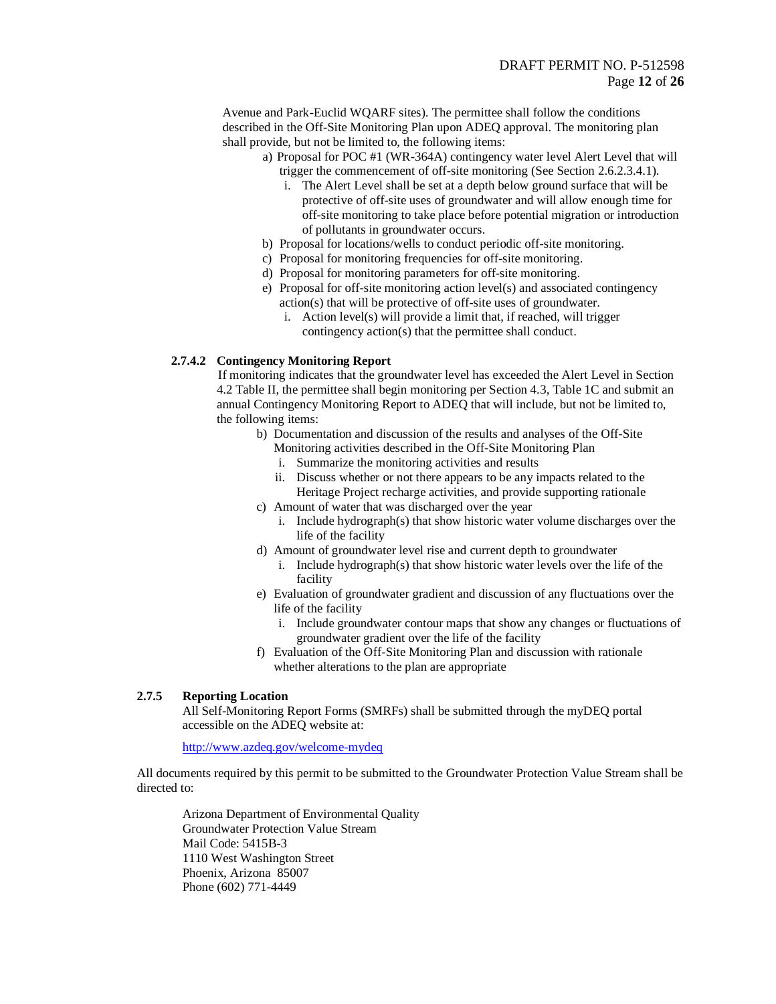Avenue and Park-Euclid WQARF sites). The permittee shall follow the conditions described in the Off-Site Monitoring Plan upon ADEQ approval. The monitoring plan shall provide, but not be limited to, the following items:

- a) Proposal for POC #1 (WR-364A) contingency water level Alert Level that will trigger the commencement of off-site monitoring (See Section 2.6.2.3.4.1).
	- i. The Alert Level shall be set at a depth below ground surface that will be protective of off-site uses of groundwater and will allow enough time for off-site monitoring to take place before potential migration or introduction of pollutants in groundwater occurs.
- b) Proposal for locations/wells to conduct periodic off-site monitoring.
- c) Proposal for monitoring frequencies for off-site monitoring.
- d) Proposal for monitoring parameters for off-site monitoring.
- e) Proposal for off-site monitoring action level(s) and associated contingency action(s) that will be protective of off-site uses of groundwater.
	- i. Action level(s) will provide a limit that, if reached, will trigger contingency action(s) that the permittee shall conduct.

## **2.7.4.2 Contingency Monitoring Report**

If monitoring indicates that the groundwater level has exceeded the Alert Level in Section 4.2 Table II, the permittee shall begin monitoring per Section 4.3, Table 1C and submit an annual Contingency Monitoring Report to ADEQ that will include, but not be limited to, the following items:

- b) Documentation and discussion of the results and analyses of the Off-Site
	- Monitoring activities described in the Off-Site Monitoring Plan
	- i. Summarize the monitoring activities and results
	- ii. Discuss whether or not there appears to be any impacts related to the Heritage Project recharge activities, and provide supporting rationale
	- c) Amount of water that was discharged over the year
		- i. Include hydrograph(s) that show historic water volume discharges over the life of the facility
- d) Amount of groundwater level rise and current depth to groundwater
	- i. Include hydrograph(s) that show historic water levels over the life of the facility
- e) Evaluation of groundwater gradient and discussion of any fluctuations over the life of the facility
	- i. Include groundwater contour maps that show any changes or fluctuations of groundwater gradient over the life of the facility
- f) Evaluation of the Off-Site Monitoring Plan and discussion with rationale whether alterations to the plan are appropriate

## **2.7.5 Reporting Location**

All Self-Monitoring Report Forms (SMRFs) shall be submitted through the myDEQ portal accessible on the ADEQ website at:

<http://www.azdeq.gov/welcome-mydeq>

All documents required by this permit to be submitted to the Groundwater Protection Value Stream shall be directed to:

Arizona Department of Environmental Quality Groundwater Protection Value Stream Mail Code: 5415B-3 1110 West Washington Street Phoenix, Arizona 85007 Phone (602) 771-4449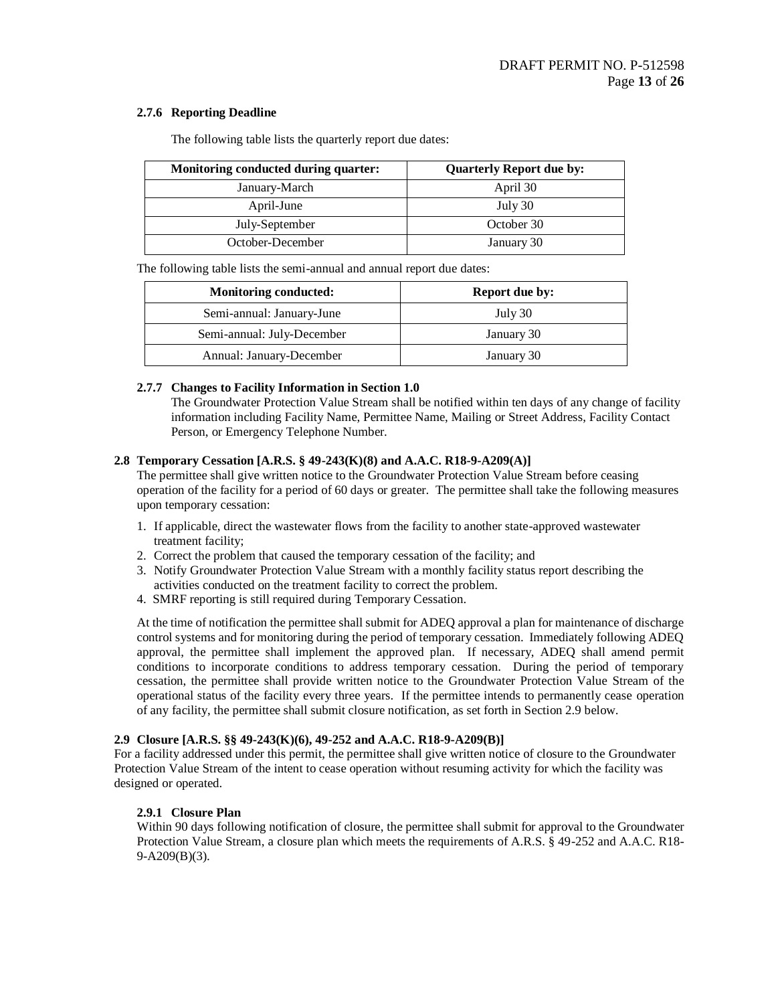## **2.7.6 Reporting Deadline**

| Monitoring conducted during quarter: | <b>Quarterly Report due by:</b> |
|--------------------------------------|---------------------------------|
| January-March                        | April 30                        |
| April-June                           | July 30                         |
| July-September                       | October 30                      |
| October-December                     | January 30                      |

The following table lists the quarterly report due dates:

The following table lists the semi-annual and annual report due dates:

| <b>Monitoring conducted:</b> | <b>Report due by:</b> |
|------------------------------|-----------------------|
| Semi-annual: January-June    | July 30               |
| Semi-annual: July-December   | January 30            |
| Annual: January-December     | January 30            |

## **2.7.7 Changes to Facility Information in Section 1.0**

The Groundwater Protection Value Stream shall be notified within ten days of any change of facility information including Facility Name, Permittee Name, Mailing or Street Address, Facility Contact Person, or Emergency Telephone Number.

## **2.8 Temporary Cessation [A.R.S. § 49-243(K)(8) and A.A.C. R18-9-A209(A)]**

The permittee shall give written notice to the Groundwater Protection Value Stream before ceasing operation of the facility for a period of 60 days or greater. The permittee shall take the following measures upon temporary cessation:

- 1. If applicable, direct the wastewater flows from the facility to another state-approved wastewater treatment facility;
- 2. Correct the problem that caused the temporary cessation of the facility; and
- 3. Notify Groundwater Protection Value Stream with a monthly facility status report describing the activities conducted on the treatment facility to correct the problem.
- 4. SMRF reporting is still required during Temporary Cessation.

At the time of notification the permittee shall submit for ADEQ approval a plan for maintenance of discharge control systems and for monitoring during the period of temporary cessation. Immediately following ADEQ approval, the permittee shall implement the approved plan. If necessary, ADEQ shall amend permit conditions to incorporate conditions to address temporary cessation. During the period of temporary cessation, the permittee shall provide written notice to the Groundwater Protection Value Stream of the operational status of the facility every three years. If the permittee intends to permanently cease operation of any facility, the permittee shall submit closure notification, as set forth in Section 2.9 below.

## **2.9 Closure [A.R.S. §§ 49-243(K)(6), 49-252 and A.A.C. R18-9-A209(B)]**

For a facility addressed under this permit, the permittee shall give written notice of closure to the Groundwater Protection Value Stream of the intent to cease operation without resuming activity for which the facility was designed or operated.

## **2.9.1 Closure Plan**

Within 90 days following notification of closure, the permittee shall submit for approval to the Groundwater Protection Value Stream, a closure plan which meets the requirements of A.R.S. § 49-252 and A.A.C. R18- 9-A209(B)(3).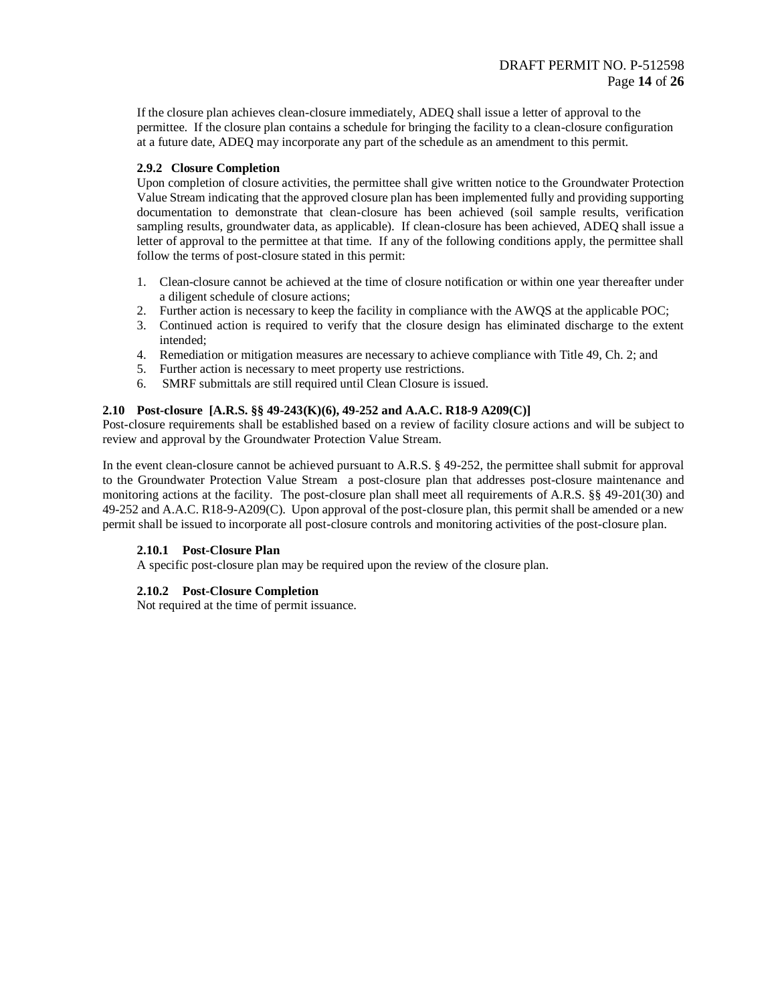If the closure plan achieves clean-closure immediately, ADEQ shall issue a letter of approval to the permittee. If the closure plan contains a schedule for bringing the facility to a clean-closure configuration at a future date, ADEQ may incorporate any part of the schedule as an amendment to this permit.

## **2.9.2 Closure Completion**

Upon completion of closure activities, the permittee shall give written notice to the Groundwater Protection Value Stream indicating that the approved closure plan has been implemented fully and providing supporting documentation to demonstrate that clean-closure has been achieved (soil sample results, verification sampling results, groundwater data, as applicable). If clean-closure has been achieved, ADEQ shall issue a letter of approval to the permittee at that time. If any of the following conditions apply, the permittee shall follow the terms of post-closure stated in this permit:

- 1. Clean-closure cannot be achieved at the time of closure notification or within one year thereafter under a diligent schedule of closure actions;
- 2. Further action is necessary to keep the facility in compliance with the AWQS at the applicable POC;
- 3. Continued action is required to verify that the closure design has eliminated discharge to the extent intended;
- 4. Remediation or mitigation measures are necessary to achieve compliance with Title 49, Ch. 2; and
- 5. Further action is necessary to meet property use restrictions.
- 6. SMRF submittals are still required until Clean Closure is issued.

## **2.10 Post-closure [A.R.S. §§ 49-243(K)(6), 49-252 and A.A.C. R18-9 A209(C)]**

Post-closure requirements shall be established based on a review of facility closure actions and will be subject to review and approval by the Groundwater Protection Value Stream.

In the event clean-closure cannot be achieved pursuant to A.R.S. § 49-252, the permittee shall submit for approval to the Groundwater Protection Value Stream a post-closure plan that addresses post-closure maintenance and monitoring actions at the facility. The post-closure plan shall meet all requirements of A.R.S. §§ 49-201(30) and 49-252 and A.A.C. R18-9-A209(C). Upon approval of the post-closure plan, this permit shall be amended or a new permit shall be issued to incorporate all post-closure controls and monitoring activities of the post-closure plan.

## **2.10.1 Post-Closure Plan**

A specific post-closure plan may be required upon the review of the closure plan.

## **2.10.2 Post-Closure Completion**

Not required at the time of permit issuance.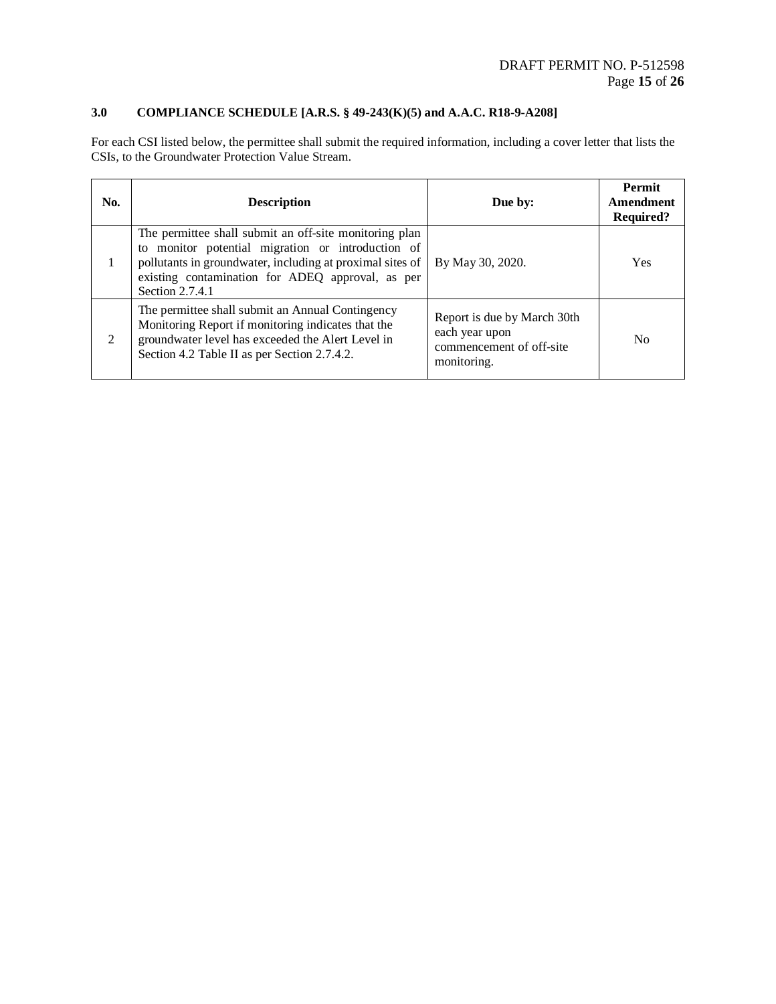## **3.0 COMPLIANCE SCHEDULE [A.R.S. § 49-243(K)(5) and A.A.C. R18-9-A208]**

For each CSI listed below, the permittee shall submit the required information, including a cover letter that lists the CSIs, to the Groundwater Protection Value Stream.

| No. | <b>Description</b>                                                                                                                                                                                                                              | Due by:                                                                                  | <b>Permit</b><br>Amendment<br><b>Required?</b> |
|-----|-------------------------------------------------------------------------------------------------------------------------------------------------------------------------------------------------------------------------------------------------|------------------------------------------------------------------------------------------|------------------------------------------------|
|     | The permittee shall submit an off-site monitoring plan<br>to monitor potential migration or introduction of<br>pollutants in groundwater, including at proximal sites of<br>existing contamination for ADEQ approval, as per<br>Section 2.7.4.1 | By May 30, 2020.                                                                         | <b>Yes</b>                                     |
| 2   | The permittee shall submit an Annual Contingency<br>Monitoring Report if monitoring indicates that the<br>groundwater level has exceeded the Alert Level in<br>Section 4.2 Table II as per Section 2.7.4.2.                                     | Report is due by March 30th<br>each year upon<br>commencement of off-site<br>monitoring. | N <sub>0</sub>                                 |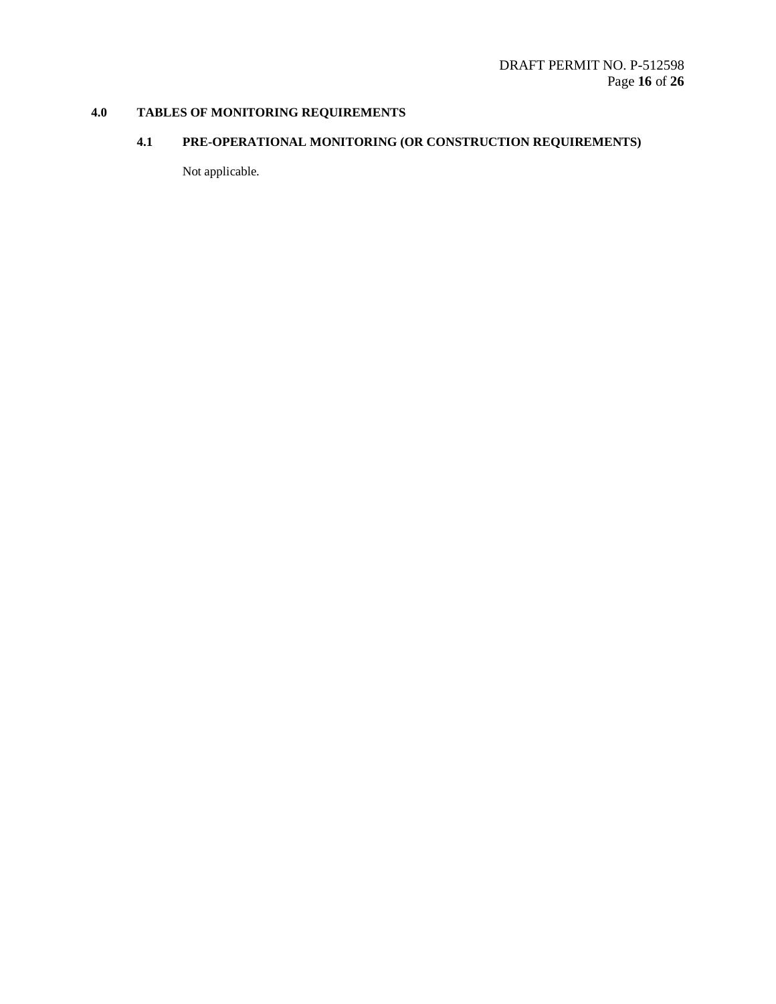# **4.0 TABLES OF MONITORING REQUIREMENTS**

## **4.1 PRE-OPERATIONAL MONITORING (OR CONSTRUCTION REQUIREMENTS)**

Not applicable.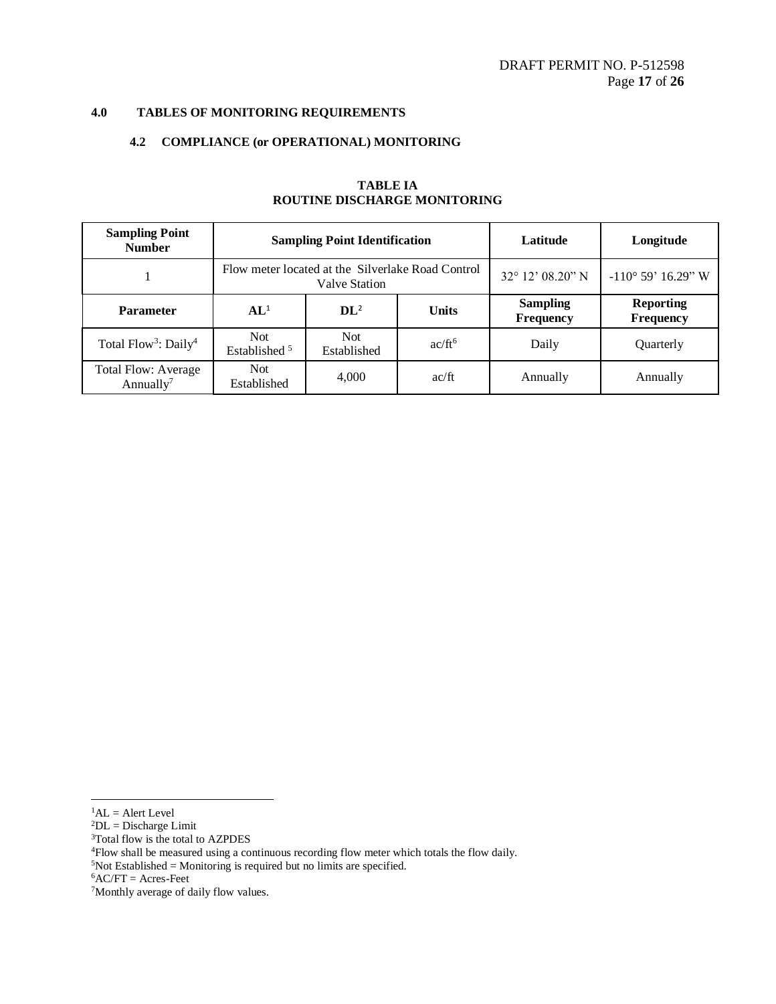## **4.0 TABLES OF MONITORING REQUIREMENTS**

## **4.2 COMPLIANCE (or OPERATIONAL) MONITORING**

| <b>Sampling Point</b><br><b>Number</b>              |                                                                           | <b>Sampling Point Identification</b> | Latitude           | Longitude                           |                               |
|-----------------------------------------------------|---------------------------------------------------------------------------|--------------------------------------|--------------------|-------------------------------------|-------------------------------|
|                                                     | Flow meter located at the Silverlake Road Control<br><b>Valve Station</b> |                                      |                    | $32^{\circ}$ 12' 08.20" N           | $-110^{\circ}$ 59' 16.29" W   |
| <b>Parameter</b>                                    | AL <sup>1</sup>                                                           | $\mathbf{DI}^2$                      | <b>Units</b>       | <b>Sampling</b><br><b>Frequency</b> | <b>Reporting</b><br>Frequency |
| Total Flow <sup>3</sup> : Daily <sup>4</sup>        | <b>Not</b><br>Established <sup>5</sup>                                    | Not.<br>Established                  | ac/ft <sup>6</sup> | Daily                               | Quarterly                     |
| <b>Total Flow: Average</b><br>Annually <sup>7</sup> | <b>Not</b><br>Established                                                 | 4,000                                | ac/ft              | Annually                            | Annually                      |

## **TABLE IA ROUTINE DISCHARGE MONITORING**

 $\overline{a}$ 

<sup>3</sup>Total flow is the total to AZPDES

 ${}^{1}$ AL = Alert Level

 ${}^{2}DL = Discharge Limit$ 

<sup>4</sup>Flow shall be measured using a continuous recording flow meter which totals the flow daily.  $5$ Not Established = Monitoring is required but no limits are specified.

 ${}^{6}$ AC/FT = Acres-Feet

<sup>7</sup>Monthly average of daily flow values.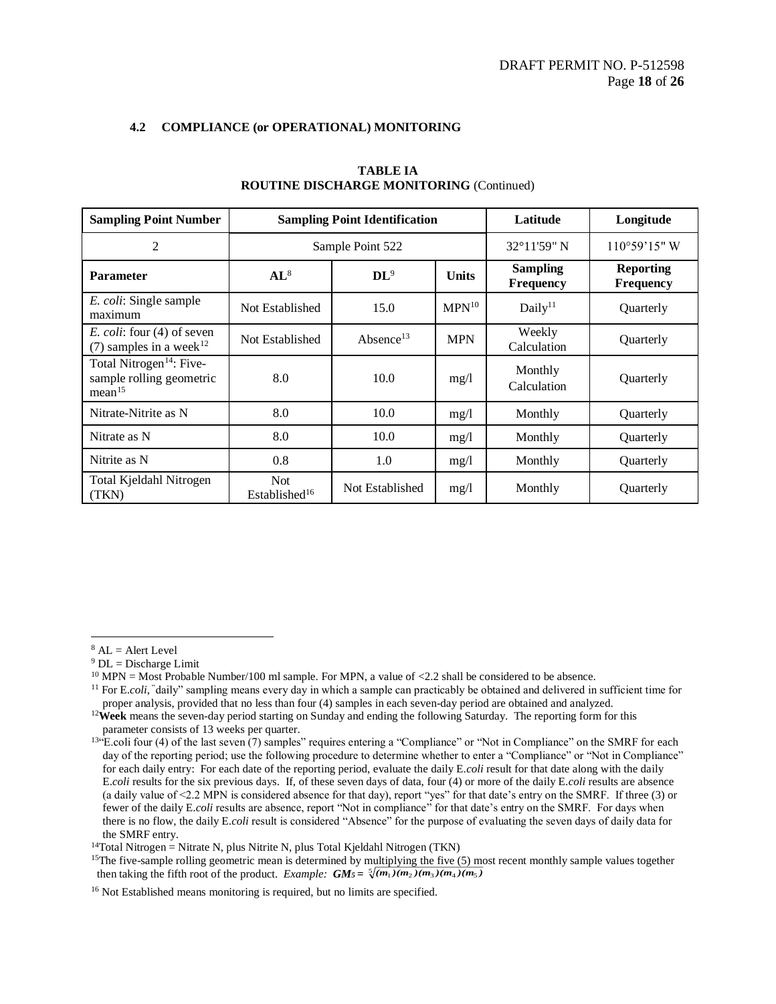| <b>Sampling Point Number</b>                                                           |                                   | <b>Sampling Point Identification</b> | Latitude    | Longitude                    |                               |
|----------------------------------------------------------------------------------------|-----------------------------------|--------------------------------------|-------------|------------------------------|-------------------------------|
| 2                                                                                      |                                   | Sample Point 522                     | 32°11'59" N | $110°59'15"$ W               |                               |
| <b>Parameter</b>                                                                       | $AL^8$                            | $\mathbf{DL}^9$<br><b>Units</b>      |             | <b>Sampling</b><br>Frequency | <b>Reporting</b><br>Frequency |
| E. coli: Single sample<br>maximum                                                      | Not Established                   | 15.0                                 | $MPN^{10}$  | Daily <sup>11</sup>          | Quarterly                     |
| <i>E. coli:</i> four (4) of seven<br>(7) samples in a week <sup>12</sup>               | Not Established                   | Absence <sup>13</sup>                | <b>MPN</b>  | Weekly<br>Calculation        | Quarterly                     |
| Total Nitrogen <sup>14</sup> : Five-<br>sample rolling geometric<br>mean <sup>15</sup> | 8.0                               | 10.0                                 | mg/1        | Monthly<br>Calculation       | Quarterly                     |
| Nitrate-Nitrite as N                                                                   | 8.0                               | 10.0                                 | mg/1        | Monthly                      | Quarterly                     |
| Nitrate as N                                                                           | 8.0                               | 10.0                                 | mg/1        | Monthly                      | Quarterly                     |
| Nitrite as N                                                                           | 0.8                               | 1.0<br>mg/1                          |             | Monthly                      | Quarterly                     |
| Total Kjeldahl Nitrogen<br>(TKN)                                                       | Not.<br>Established <sup>16</sup> | Not Established                      | mg/1        | Monthly                      | Quarterly                     |

## **TABLE IA ROUTINE DISCHARGE MONITORING** (Continued)

 $\overline{a}$ 

<sup>14</sup>Total Nitrogen = Nitrate N, plus Nitrite N, plus Total Kjeldahl Nitrogen (TKN)

 $8$  AL = Alert Level

 $9$  DL = Discharge Limit

 $^{10}$  MPN = Most Probable Number/100 ml sample. For MPN, a value of <2.2 shall be considered to be absence.

<sup>&</sup>lt;sup>11</sup> For E.*coli*, "daily" sampling means every day in which a sample can practicably be obtained and delivered in sufficient time for proper analysis, provided that no less than four (4) samples in each seven-day period are obtained and analyzed.

<sup>12</sup>**Week** means the seven-day period starting on Sunday and ending the following Saturday. The reporting form for this parameter consists of 13 weeks per quarter.

<sup>&</sup>lt;sup>13"</sup>E.coli four (4) of the last seven (7) samples" requires entering a "Compliance" or "Not in Compliance" on the SMRF for each day of the reporting period; use the following procedure to determine whether to enter a "Compliance" or "Not in Compliance" for each daily entry: For each date of the reporting period, evaluate the daily E.*coli* result for that date along with the daily E.*coli* results for the six previous days. If, of these seven days of data, four (4) or more of the daily E.*coli* results are absence (a daily value of <2.2 MPN is considered absence for that day), report "yes" for that date's entry on the SMRF. If three (3) or fewer of the daily E.*coli* results are absence, report "Not in compliance" for that date's entry on the SMRF. For days when there is no flow, the daily E.*coli* result is considered "Absence" for the purpose of evaluating the seven days of daily data for the SMRF entry.

 $15$ The five-sample rolling geometric mean is determined by multiplying the five (5) most recent monthly sample values together then taking the fifth root of the product. *Example:*  $GM_5 = \sqrt[5]{(m_1)(m_2)(m_3)(m_4)(m_5)}$ 

<sup>&</sup>lt;sup>16</sup> Not Established means monitoring is required, but no limits are specified.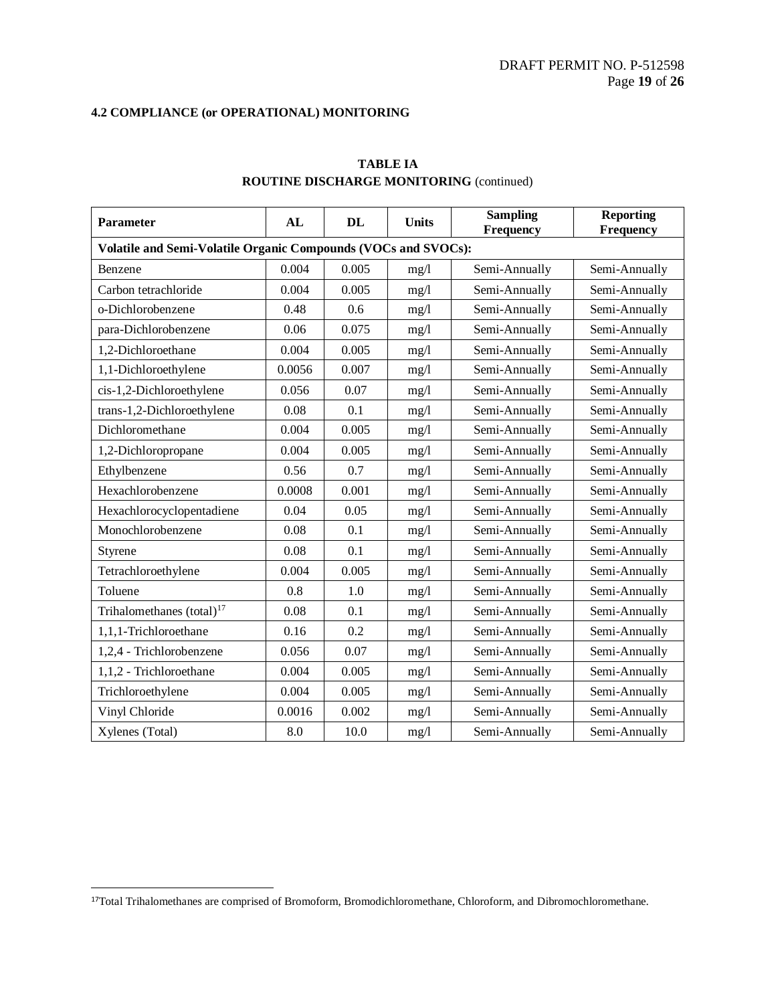| <b>Parameter</b>                                               | AL     | DL    | <b>Units</b> | <b>Sampling</b><br>Frequency | <b>Reporting</b><br>Frequency |  |
|----------------------------------------------------------------|--------|-------|--------------|------------------------------|-------------------------------|--|
| Volatile and Semi-Volatile Organic Compounds (VOCs and SVOCs): |        |       |              |                              |                               |  |
| Benzene                                                        | 0.004  | 0.005 | mg/l         | Semi-Annually                | Semi-Annually                 |  |
| Carbon tetrachloride                                           | 0.004  | 0.005 | mg/l         | Semi-Annually                | Semi-Annually                 |  |
| o-Dichlorobenzene                                              | 0.48   | 0.6   | mg/l         | Semi-Annually                | Semi-Annually                 |  |
| para-Dichlorobenzene                                           | 0.06   | 0.075 | mg/l         | Semi-Annually                | Semi-Annually                 |  |
| 1,2-Dichloroethane                                             | 0.004  | 0.005 | mg/l         | Semi-Annually                | Semi-Annually                 |  |
| 1,1-Dichloroethylene                                           | 0.0056 | 0.007 | mg/l         | Semi-Annually                | Semi-Annually                 |  |
| cis-1,2-Dichloroethylene                                       | 0.056  | 0.07  | mg/l         | Semi-Annually                | Semi-Annually                 |  |
| trans-1,2-Dichloroethylene                                     | 0.08   | 0.1   | mg/l         | Semi-Annually                | Semi-Annually                 |  |
| Dichloromethane                                                | 0.004  | 0.005 | mg/1         | Semi-Annually                | Semi-Annually                 |  |
| 1,2-Dichloropropane                                            | 0.004  | 0.005 | mg/l         | Semi-Annually                | Semi-Annually                 |  |
| Ethylbenzene                                                   | 0.56   | 0.7   | mg/l         | Semi-Annually                | Semi-Annually                 |  |
| Hexachlorobenzene                                              | 0.0008 | 0.001 | mg/l         | Semi-Annually                | Semi-Annually                 |  |
| Hexachlorocyclopentadiene                                      | 0.04   | 0.05  | mg/1         | Semi-Annually                | Semi-Annually                 |  |
| Monochlorobenzene                                              | 0.08   | 0.1   | mg/l         | Semi-Annually                | Semi-Annually                 |  |
| Styrene                                                        | 0.08   | 0.1   | mg/1         | Semi-Annually                | Semi-Annually                 |  |
| Tetrachloroethylene                                            | 0.004  | 0.005 | mg/l         | Semi-Annually                | Semi-Annually                 |  |
| Toluene                                                        | 0.8    | 1.0   | mg/1         | Semi-Annually                | Semi-Annually                 |  |
| Trihalomethanes $(total)^{17}$                                 | 0.08   | 0.1   | mg/1         | Semi-Annually                | Semi-Annually                 |  |
| 1,1,1-Trichloroethane                                          | 0.16   | 0.2   | mg/l         | Semi-Annually                | Semi-Annually                 |  |
| 1,2,4 - Trichlorobenzene                                       | 0.056  | 0.07  | mg/l         | Semi-Annually                | Semi-Annually                 |  |
| 1,1,2 - Trichloroethane                                        | 0.004  | 0.005 | mg/l         | Semi-Annually                | Semi-Annually                 |  |
| Trichloroethylene                                              | 0.004  | 0.005 | mg/l         | Semi-Annually                | Semi-Annually                 |  |
| Vinyl Chloride                                                 | 0.0016 | 0.002 | mg/l         | Semi-Annually                | Semi-Annually                 |  |
| Xylenes (Total)                                                | 8.0    | 10.0  | mg/l         | Semi-Annually                | Semi-Annually                 |  |

## **TABLE IA ROUTINE DISCHARGE MONITORING** (continued)

l

<sup>17</sup>Total Trihalomethanes are comprised of Bromoform, Bromodichloromethane, Chloroform, and Dibromochloromethane.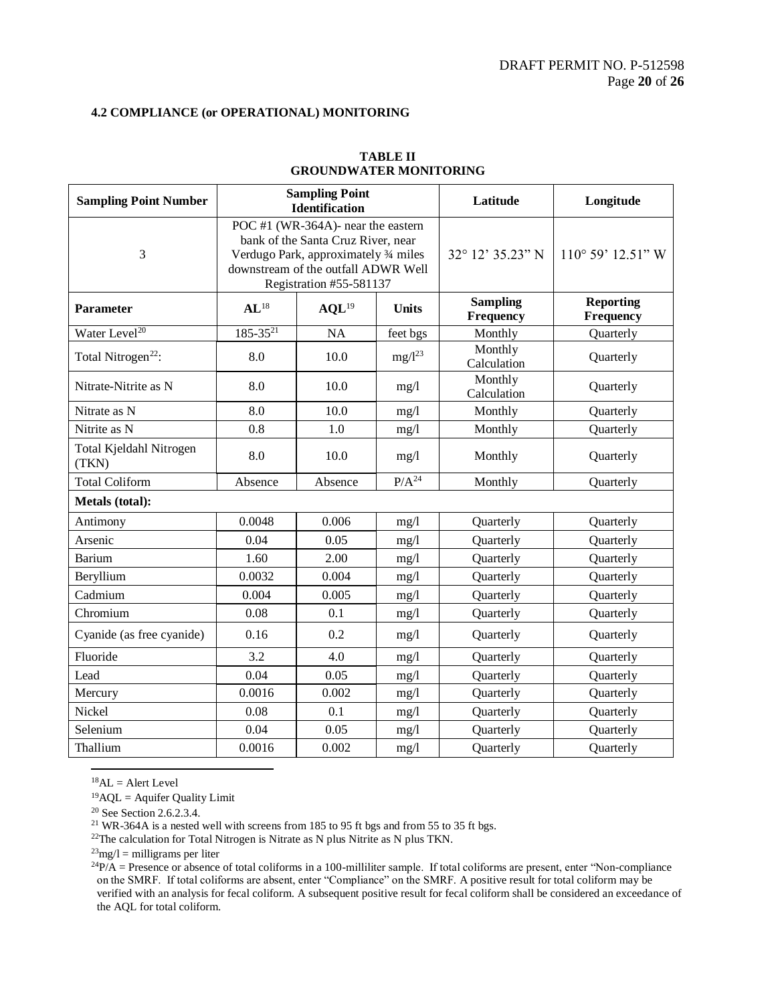| <b>Sampling Point Number</b>     | <b>Sampling Point</b><br><b>Identification</b>                                                                                                                                      |                   |              | Latitude                                  | Longitude                     |
|----------------------------------|-------------------------------------------------------------------------------------------------------------------------------------------------------------------------------------|-------------------|--------------|-------------------------------------------|-------------------------------|
| 3                                | POC #1 (WR-364A)- near the eastern<br>bank of the Santa Cruz River, near<br>Verdugo Park, approximately 3/4 miles<br>downstream of the outfall ADWR Well<br>Registration #55-581137 |                   |              | $32^{\circ}$ 12' $35.23^{\prime\prime}$ N | $110^{\circ} 59' 12.51'' W$   |
| <b>Parameter</b>                 | $AL^{18}$                                                                                                                                                                           | AQL <sup>19</sup> | <b>Units</b> | <b>Sampling</b><br>Frequency              | <b>Reporting</b><br>Frequency |
| Water Level <sup>20</sup>        | $185 - 35^{21}$                                                                                                                                                                     | <b>NA</b>         | feet bgs     | Monthly                                   | Quarterly                     |
| Total Nitrogen <sup>22</sup> :   | 8.0                                                                                                                                                                                 | 10.0              | $mg/l^{23}$  | Monthly<br>Calculation                    | Quarterly                     |
| Nitrate-Nitrite as N             | 8.0                                                                                                                                                                                 | 10.0              | mg/1         | Monthly<br>Calculation                    | Quarterly                     |
| Nitrate as N                     | 8.0                                                                                                                                                                                 | 10.0              | mg/1         | Monthly                                   | Quarterly                     |
| Nitrite as N                     | 0.8                                                                                                                                                                                 | 1.0               | mg/l         | Monthly                                   | Quarterly                     |
| Total Kjeldahl Nitrogen<br>(TKN) | 8.0                                                                                                                                                                                 | 10.0              | mg/l         | Monthly                                   | Quarterly                     |
| <b>Total Coliform</b>            | Absence                                                                                                                                                                             | Absence           | $P/A^{24}$   | Monthly                                   | Quarterly                     |
| Metals (total):                  |                                                                                                                                                                                     |                   |              |                                           |                               |
| Antimony                         | 0.0048                                                                                                                                                                              | 0.006             | mg/1         | Quarterly                                 | Quarterly                     |
| Arsenic                          | 0.04                                                                                                                                                                                | 0.05              | mg/l         | Quarterly                                 | Quarterly                     |
| Barium                           | 1.60                                                                                                                                                                                | 2.00              | mg/l         | Quarterly                                 | Quarterly                     |
| Beryllium                        | 0.0032                                                                                                                                                                              | 0.004             | mg/l         | Quarterly                                 | Quarterly                     |
| Cadmium                          | 0.004                                                                                                                                                                               | 0.005             | mg/l         | Quarterly                                 | Quarterly                     |
| Chromium                         | 0.08                                                                                                                                                                                | 0.1               | mg/l         | Quarterly                                 | Quarterly                     |
| Cyanide (as free cyanide)        | 0.16                                                                                                                                                                                | 0.2               | mg/1         | Quarterly                                 | Quarterly                     |
| Fluoride                         | 3.2                                                                                                                                                                                 | 4.0               | mg/l         | Quarterly                                 | Quarterly                     |
| Lead                             | 0.04                                                                                                                                                                                | 0.05              | mg/1         | Quarterly                                 | Quarterly                     |
| Mercury                          | 0.0016                                                                                                                                                                              | 0.002             | mg/1         | Quarterly                                 | Quarterly                     |
| Nickel                           | 0.08                                                                                                                                                                                | 0.1               | mg/1         | Quarterly                                 | Quarterly                     |
| Selenium                         | 0.04                                                                                                                                                                                | 0.05              | mg/1         | Quarterly                                 | Quarterly                     |
| Thallium                         | 0.0016                                                                                                                                                                              | 0.002             | mg/l         | Quarterly                                 | Quarterly                     |

## **TABLE II GROUNDWATER MONITORING**

 ${}^{18}$ AL = Alert Level

 $\overline{\phantom{0}}$ 

 $19$ AQL = Aquifer Quality Limit

<sup>20</sup> See Section 2.6.2.3.4.

<sup>21</sup> WR-364A is a nested well with screens from 185 to 95 ft bgs and from 55 to 35 ft bgs.

<sup>22</sup>The calculation for Total Nitrogen is Nitrate as N plus Nitrite as N plus TKN.

 $^{23}$ mg/l = milligrams per liter

 ${}^{24}P/A$  = Presence or absence of total coliforms in a 100-milliliter sample. If total coliforms are present, enter "Non-compliance" on the SMRF. If total coliforms are absent, enter "Compliance" on the SMRF. A positive result for total coliform may be verified with an analysis for fecal coliform. A subsequent positive result for fecal coliform shall be considered an exceedance of the AQL for total coliform.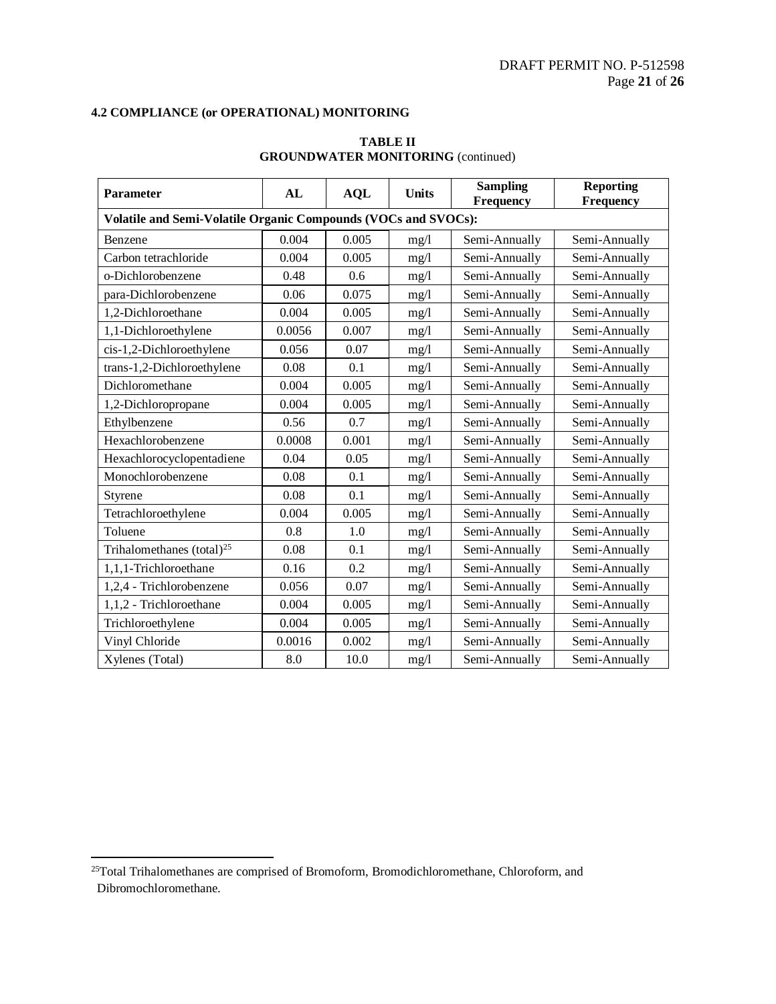| <b>Parameter</b>                                               | AL     | <b>AQL</b> | <b>Units</b> | <b>Sampling</b><br>Frequency   | <b>Reporting</b><br>Frequency |  |  |  |
|----------------------------------------------------------------|--------|------------|--------------|--------------------------------|-------------------------------|--|--|--|
| Volatile and Semi-Volatile Organic Compounds (VOCs and SVOCs): |        |            |              |                                |                               |  |  |  |
| Benzene                                                        | 0.004  | 0.005      | mg/l         | Semi-Annually                  | Semi-Annually                 |  |  |  |
| Carbon tetrachloride                                           | 0.004  | 0.005      | mg/1         | Semi-Annually                  | Semi-Annually                 |  |  |  |
| o-Dichlorobenzene                                              | 0.48   | 0.6        | mg/1         | Semi-Annually                  | Semi-Annually                 |  |  |  |
| para-Dichlorobenzene                                           | 0.06   | 0.075      | mg/1         | Semi-Annually                  | Semi-Annually                 |  |  |  |
| 1,2-Dichloroethane                                             | 0.004  | 0.005      | mg/1         | Semi-Annually                  | Semi-Annually                 |  |  |  |
| 1,1-Dichloroethylene                                           | 0.0056 | 0.007      | mg/l         | Semi-Annually                  | Semi-Annually                 |  |  |  |
| cis-1,2-Dichloroethylene                                       | 0.056  | 0.07       | mg/1         | Semi-Annually                  | Semi-Annually                 |  |  |  |
| trans-1,2-Dichloroethylene                                     | 0.08   | 0.1        | mg/l         | Semi-Annually                  | Semi-Annually                 |  |  |  |
| Dichloromethane                                                | 0.004  | 0.005      | mg/l         | Semi-Annually                  | Semi-Annually                 |  |  |  |
| 1,2-Dichloropropane                                            | 0.004  | 0.005      | mg/l         | Semi-Annually                  | Semi-Annually                 |  |  |  |
| Ethylbenzene                                                   | 0.56   | 0.7        | mg/l         | Semi-Annually                  | Semi-Annually                 |  |  |  |
| Hexachlorobenzene                                              | 0.0008 | 0.001      | mg/l         | Semi-Annually                  | Semi-Annually                 |  |  |  |
| Hexachlorocyclopentadiene                                      | 0.04   | 0.05       | mg/l         | Semi-Annually                  | Semi-Annually                 |  |  |  |
| Monochlorobenzene                                              | 0.08   | 0.1        | mg/l         | Semi-Annually                  | Semi-Annually                 |  |  |  |
| Styrene                                                        | 0.08   | 0.1        | mg/1         | Semi-Annually                  | Semi-Annually                 |  |  |  |
| Tetrachloroethylene                                            | 0.004  | 0.005      | mg/1         | Semi-Annually                  | Semi-Annually                 |  |  |  |
| Toluene                                                        | 0.8    | 1.0        | mg/l         | Semi-Annually                  | Semi-Annually                 |  |  |  |
| Trihalomethanes (total) <sup>25</sup>                          | 0.08   | 0.1        | mg/1         | Semi-Annually                  | Semi-Annually                 |  |  |  |
| 1,1,1-Trichloroethane                                          | 0.16   | 0.2        | mg/l         | Semi-Annually                  | Semi-Annually                 |  |  |  |
| 1,2,4 - Trichlorobenzene                                       | 0.056  | 0.07       | mg/l         | Semi-Annually                  | Semi-Annually                 |  |  |  |
| 1,1,2 - Trichloroethane                                        | 0.004  | 0.005      | mg/l         | Semi-Annually<br>Semi-Annually |                               |  |  |  |
| Trichloroethylene                                              | 0.004  | 0.005      | mg/l         | Semi-Annually<br>Semi-Annually |                               |  |  |  |
| Vinyl Chloride                                                 | 0.0016 | 0.002      | mg/l         | Semi-Annually<br>Semi-Annually |                               |  |  |  |
| Xylenes (Total)                                                | 8.0    | 10.0       | mg/l         | Semi-Annually                  | Semi-Annually                 |  |  |  |

## **TABLE II GROUNDWATER MONITORING** (continued)

l

<sup>&</sup>lt;sup>25</sup>Total Trihalomethanes are comprised of Bromoform, Bromodichloromethane, Chloroform, and Dibromochloromethane.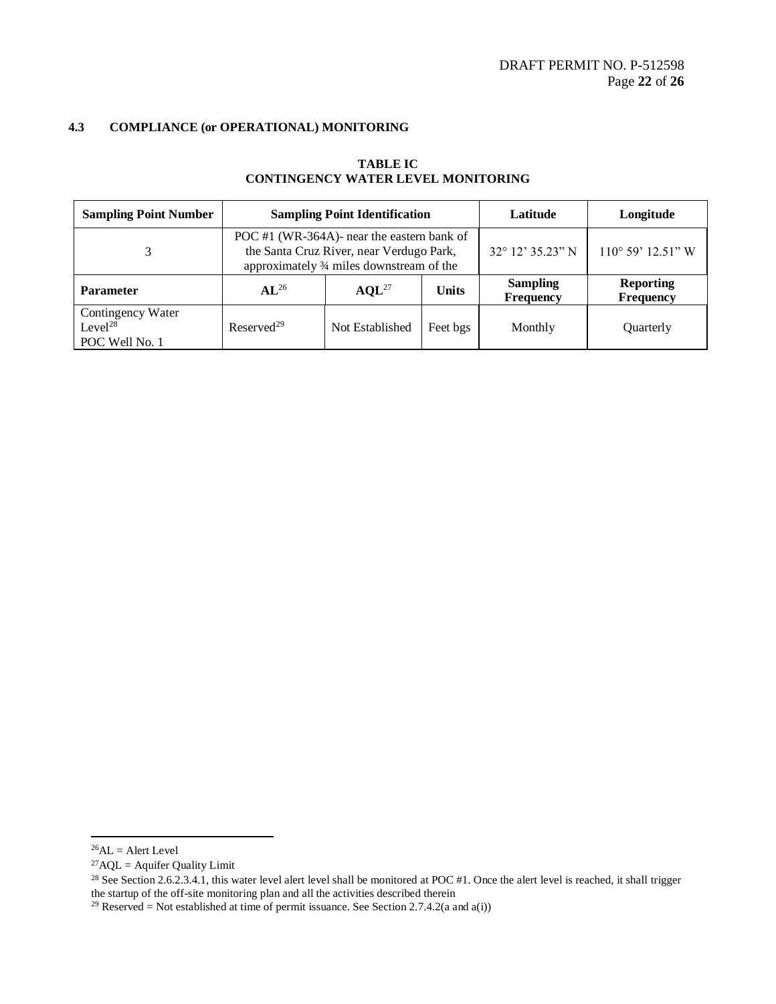| <b>Sampling Point Number</b>                               | <b>Sampling Point Identification</b>                                                                                                |                   |              | Latitude                            | Longitude                     |
|------------------------------------------------------------|-------------------------------------------------------------------------------------------------------------------------------------|-------------------|--------------|-------------------------------------|-------------------------------|
| 3                                                          | POC #1 (WR-364A)- near the eastern bank of<br>the Santa Cruz River, near Verdugo Park,<br>approximately 3⁄4 miles downstream of the |                   |              | $32^{\circ}$ 12' 35.23" N           | $110^{\circ}$ 59' $12.51$ " W |
| <b>Parameter</b>                                           | $AL^{26}$                                                                                                                           | AOL <sup>27</sup> | <b>Units</b> | <b>Sampling</b><br><b>Frequency</b> | <b>Reporting</b><br>Frequency |
| Contingency Water<br>Level <sup>28</sup><br>POC Well No. 1 | Reserved <sup>29</sup>                                                                                                              | Not Established   | Feet bgs     | Monthly                             | Quarterly                     |

## **TABLE IC CONTINGENCY WATER LEVEL MONITORING**

 $\overline{a}$ 

 $^{26}$ AL = Alert Level

<sup>&</sup>lt;sup>27</sup>AQL = Aquifer Quality Limit

<sup>&</sup>lt;sup>28</sup> See Section 2.6.2.3.4.1, this water level alert level shall be monitored at POC #1. Once the alert level is reached, it shall trigger the startup of the off-site monitoring plan and all the activities described therein

<sup>&</sup>lt;sup>29</sup> Reserved = Not established at time of permit issuance. See Section 2.7.4.2(a and a(i))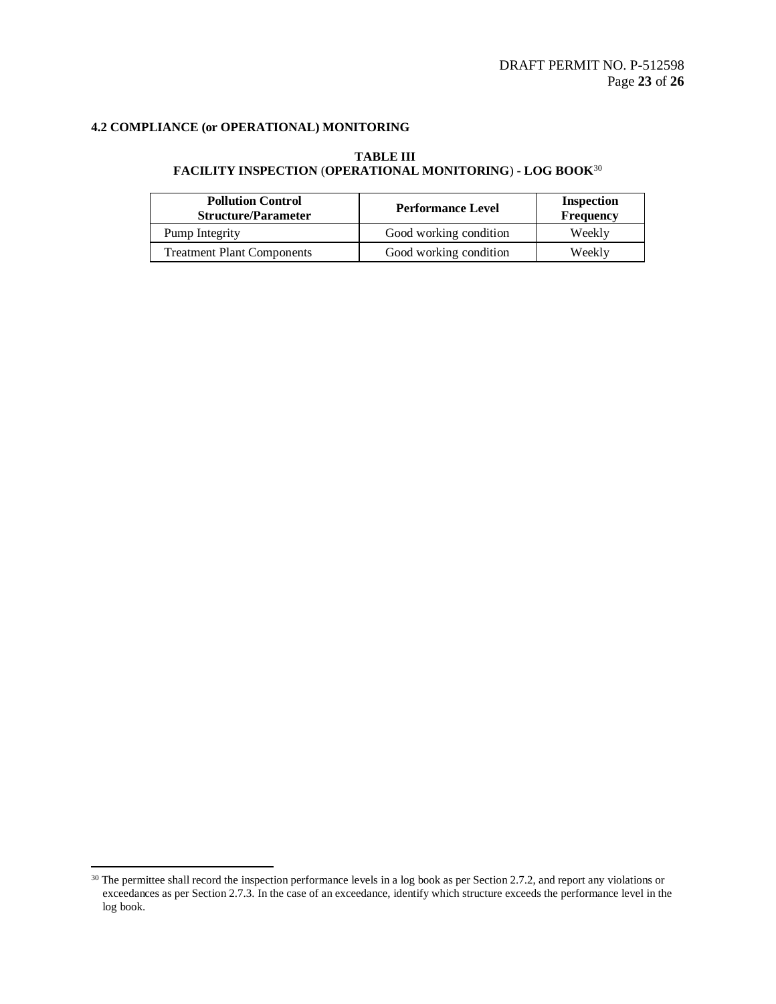## **TABLE III FACILITY INSPECTION** (**OPERATIONAL MONITORING**) **- LOG BOOK**<sup>30</sup>

| <b>Pollution Control</b><br><b>Structure/Parameter</b> | <b>Performance Level</b> | Inspection<br>Frequency |
|--------------------------------------------------------|--------------------------|-------------------------|
| Pump Integrity                                         | Good working condition   | Weekly                  |
| <b>Treatment Plant Components</b>                      | Good working condition   | Weekly                  |

l

 $30$  The permittee shall record the inspection performance levels in a log book as per Section 2.7.2, and report any violations or exceedances as per Section 2.7.3. In the case of an exceedance, identify which structure exceeds the performance level in the log book.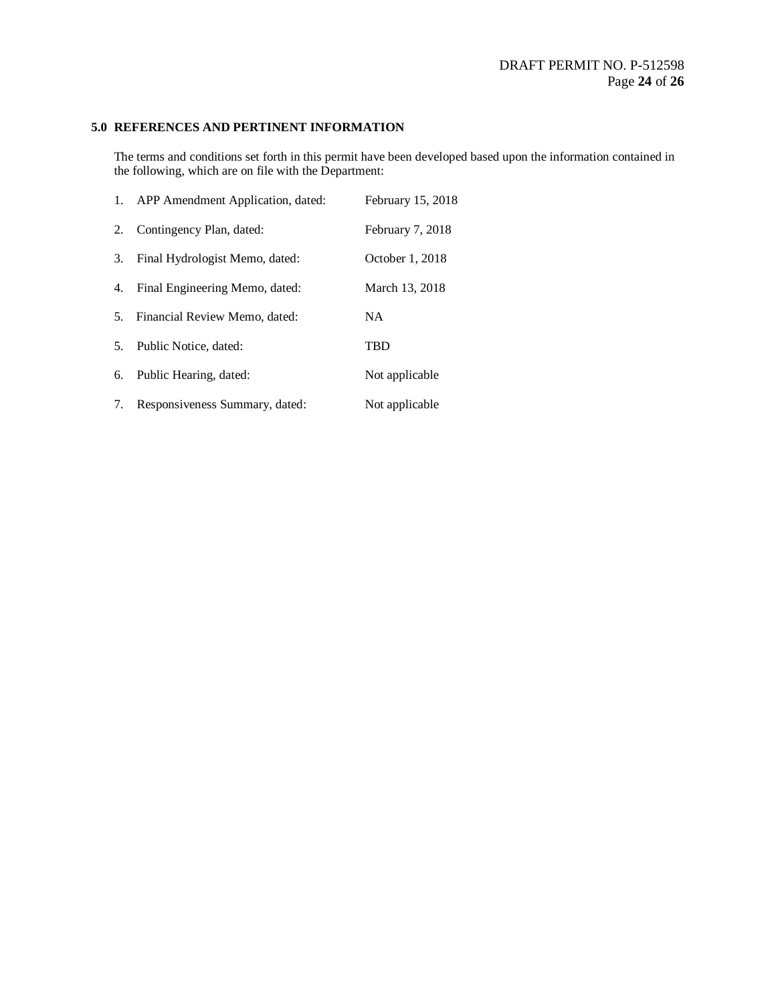## **5.0 REFERENCES AND PERTINENT INFORMATION**

The terms and conditions set forth in this permit have been developed based upon the information contained in the following, which are on file with the Department:

|                | 1. APP Amendment Application, dated: | February 15, 2018 |
|----------------|--------------------------------------|-------------------|
| 2.             | Contingency Plan, dated:             | February 7, 2018  |
| 3.             | Final Hydrologist Memo, dated:       | October 1, 2018   |
| 4.             | Final Engineering Memo, dated:       | March 13, 2018    |
| 5.             | Financial Review Memo, dated:        | <b>NA</b>         |
| 5 <sub>1</sub> | Public Notice, dated:                | TBD               |
| 6.             | Public Hearing, dated:               | Not applicable    |
| 7.             | Responsiveness Summary, dated:       | Not applicable    |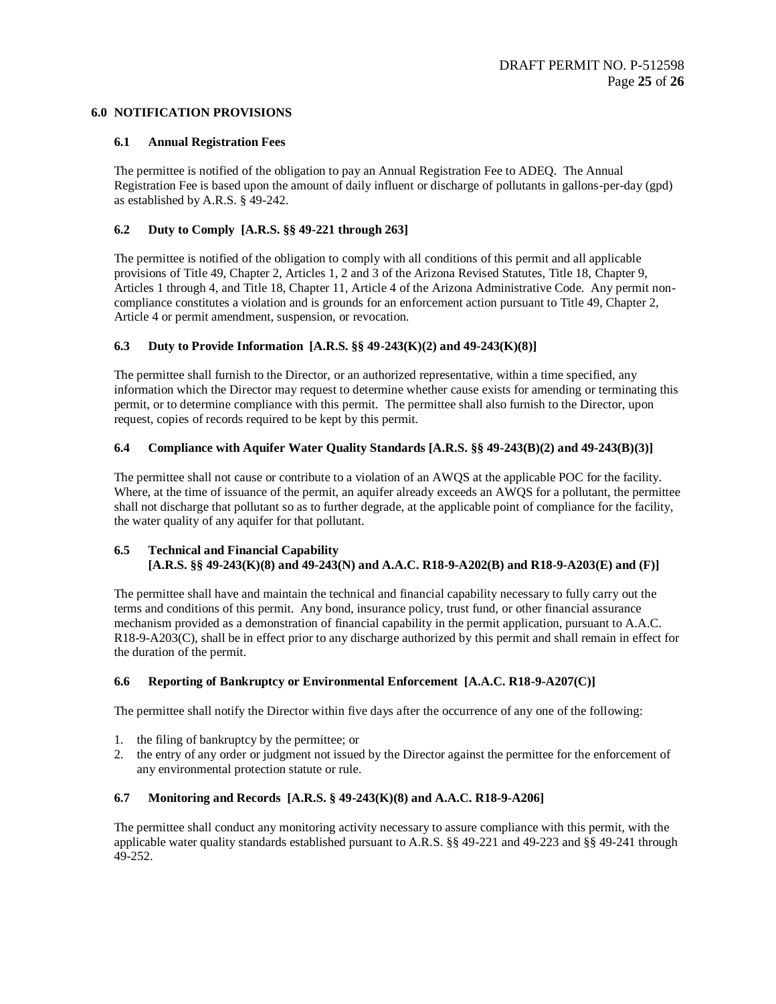## **6.0 NOTIFICATION PROVISIONS**

## **6.1 Annual Registration Fees**

The permittee is notified of the obligation to pay an Annual Registration Fee to ADEQ. The Annual Registration Fee is based upon the amount of daily influent or discharge of pollutants in gallons-per-day (gpd) as established by A.R.S. § 49-242.

## **6.2 Duty to Comply [A.R.S. §§ 49-221 through 263]**

The permittee is notified of the obligation to comply with all conditions of this permit and all applicable provisions of Title 49, Chapter 2, Articles 1, 2 and 3 of the Arizona Revised Statutes, Title 18, Chapter 9, Articles 1 through 4, and Title 18, Chapter 11, Article 4 of the Arizona Administrative Code. Any permit noncompliance constitutes a violation and is grounds for an enforcement action pursuant to Title 49, Chapter 2, Article 4 or permit amendment, suspension, or revocation.

## **6.3 Duty to Provide Information [A.R.S. §§ 49-243(K)(2) and 49-243(K)(8)]**

The permittee shall furnish to the Director, or an authorized representative, within a time specified, any information which the Director may request to determine whether cause exists for amending or terminating this permit, or to determine compliance with this permit. The permittee shall also furnish to the Director, upon request, copies of records required to be kept by this permit.

## **6.4 Compliance with Aquifer Water Quality Standards [A.R.S. §§ 49-243(B)(2) and 49-243(B)(3)]**

The permittee shall not cause or contribute to a violation of an AWQS at the applicable POC for the facility. Where, at the time of issuance of the permit, an aquifer already exceeds an AWOS for a pollutant, the permittee shall not discharge that pollutant so as to further degrade, at the applicable point of compliance for the facility, the water quality of any aquifer for that pollutant.

## **6.5 Technical and Financial Capability [A.R.S. §§ 49-243(K)(8) and 49-243(N) and A.A.C. R18-9-A202(B) and R18-9-A203(E) and (F)]**

The permittee shall have and maintain the technical and financial capability necessary to fully carry out the terms and conditions of this permit. Any bond, insurance policy, trust fund, or other financial assurance mechanism provided as a demonstration of financial capability in the permit application, pursuant to A.A.C. R18-9-A203(C), shall be in effect prior to any discharge authorized by this permit and shall remain in effect for the duration of the permit.

## **6.6 Reporting of Bankruptcy or Environmental Enforcement [A.A.C. R18-9-A207(C)]**

The permittee shall notify the Director within five days after the occurrence of any one of the following:

- 1. the filing of bankruptcy by the permittee; or
- 2. the entry of any order or judgment not issued by the Director against the permittee for the enforcement of any environmental protection statute or rule.

## **6.7 Monitoring and Records [A.R.S. § 49-243(K)(8) and A.A.C. R18-9-A206]**

The permittee shall conduct any monitoring activity necessary to assure compliance with this permit, with the applicable water quality standards established pursuant to A.R.S. §§ 49-221 and 49-223 and §§ 49-241 through 49-252.